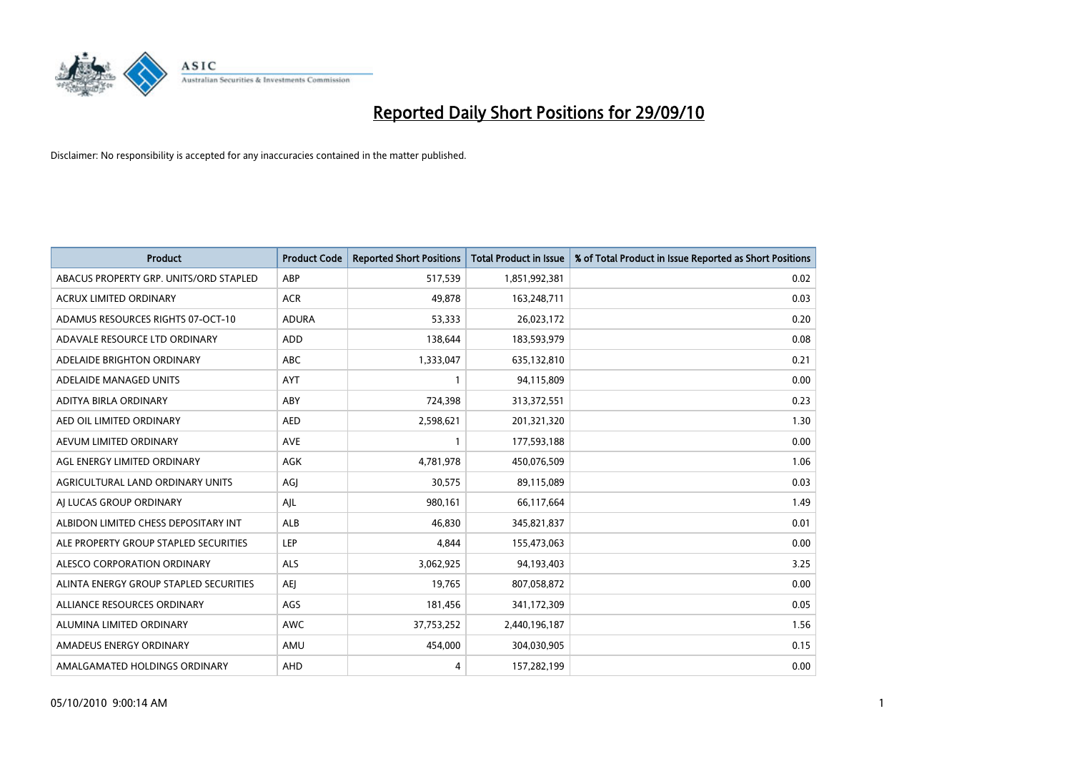

| <b>Product</b>                         | <b>Product Code</b> | <b>Reported Short Positions</b> | Total Product in Issue | % of Total Product in Issue Reported as Short Positions |
|----------------------------------------|---------------------|---------------------------------|------------------------|---------------------------------------------------------|
| ABACUS PROPERTY GRP. UNITS/ORD STAPLED | ABP                 | 517,539                         | 1,851,992,381          | 0.02                                                    |
| <b>ACRUX LIMITED ORDINARY</b>          | <b>ACR</b>          | 49,878                          | 163,248,711            | 0.03                                                    |
| ADAMUS RESOURCES RIGHTS 07-OCT-10      | <b>ADURA</b>        | 53,333                          | 26,023,172             | 0.20                                                    |
| ADAVALE RESOURCE LTD ORDINARY          | <b>ADD</b>          | 138,644                         | 183,593,979            | 0.08                                                    |
| ADELAIDE BRIGHTON ORDINARY             | <b>ABC</b>          | 1,333,047                       | 635,132,810            | 0.21                                                    |
| ADELAIDE MANAGED UNITS                 | <b>AYT</b>          |                                 | 94,115,809             | 0.00                                                    |
| ADITYA BIRLA ORDINARY                  | ABY                 | 724,398                         | 313,372,551            | 0.23                                                    |
| AED OIL LIMITED ORDINARY               | <b>AED</b>          | 2,598,621                       | 201,321,320            | 1.30                                                    |
| AEVUM LIMITED ORDINARY                 | <b>AVE</b>          |                                 | 177,593,188            | 0.00                                                    |
| AGL ENERGY LIMITED ORDINARY            | <b>AGK</b>          | 4,781,978                       | 450,076,509            | 1.06                                                    |
| AGRICULTURAL LAND ORDINARY UNITS       | AGJ                 | 30,575                          | 89,115,089             | 0.03                                                    |
| AI LUCAS GROUP ORDINARY                | AJL                 | 980,161                         | 66,117,664             | 1.49                                                    |
| ALBIDON LIMITED CHESS DEPOSITARY INT   | <b>ALB</b>          | 46.830                          | 345,821,837            | 0.01                                                    |
| ALE PROPERTY GROUP STAPLED SECURITIES  | LEP                 | 4.844                           | 155,473,063            | 0.00                                                    |
| ALESCO CORPORATION ORDINARY            | ALS                 | 3,062,925                       | 94,193,403             | 3.25                                                    |
| ALINTA ENERGY GROUP STAPLED SECURITIES | <b>AEI</b>          | 19,765                          | 807,058,872            | 0.00                                                    |
| ALLIANCE RESOURCES ORDINARY            | AGS                 | 181,456                         | 341,172,309            | 0.05                                                    |
| ALUMINA LIMITED ORDINARY               | <b>AWC</b>          | 37,753,252                      | 2,440,196,187          | 1.56                                                    |
| AMADEUS ENERGY ORDINARY                | AMU                 | 454,000                         | 304,030,905            | 0.15                                                    |
| AMALGAMATED HOLDINGS ORDINARY          | AHD                 | 4                               | 157,282,199            | 0.00                                                    |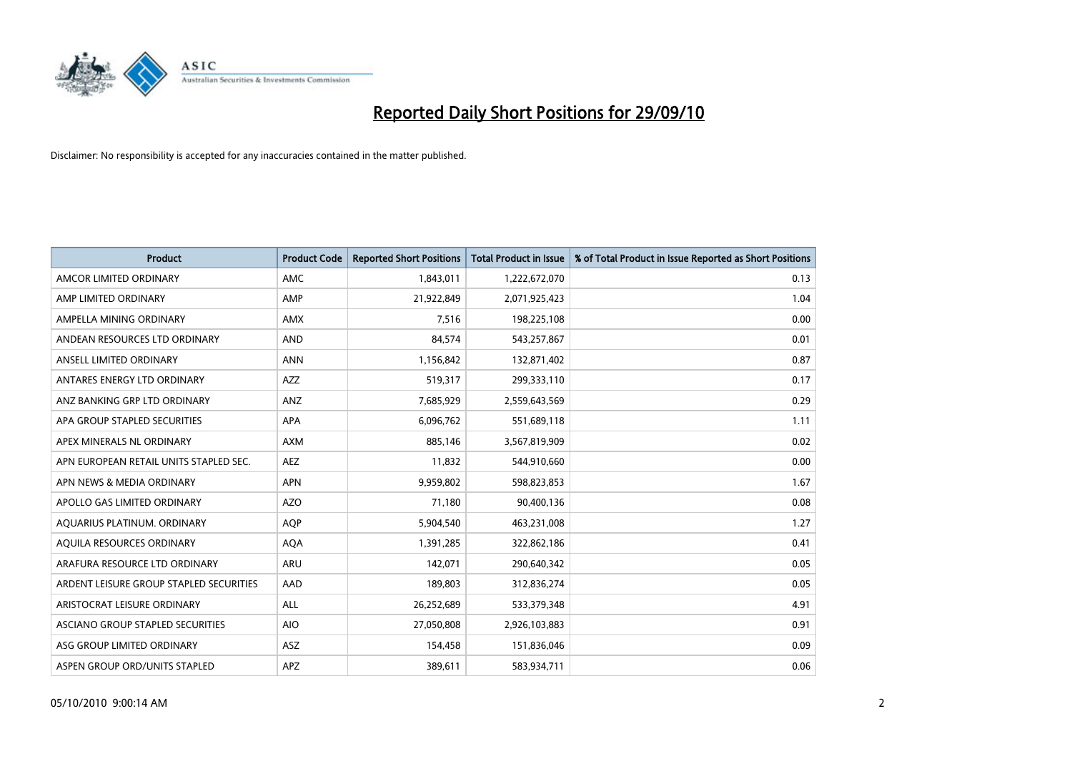

| <b>Product</b>                          | <b>Product Code</b> | <b>Reported Short Positions</b> | Total Product in Issue | % of Total Product in Issue Reported as Short Positions |
|-----------------------------------------|---------------------|---------------------------------|------------------------|---------------------------------------------------------|
| AMCOR LIMITED ORDINARY                  | <b>AMC</b>          | 1,843,011                       | 1,222,672,070          | 0.13                                                    |
| AMP LIMITED ORDINARY                    | AMP                 | 21,922,849                      | 2,071,925,423          | 1.04                                                    |
| AMPELLA MINING ORDINARY                 | <b>AMX</b>          | 7,516                           | 198,225,108            | 0.00                                                    |
| ANDEAN RESOURCES LTD ORDINARY           | <b>AND</b>          | 84,574                          | 543,257,867            | 0.01                                                    |
| ANSELL LIMITED ORDINARY                 | <b>ANN</b>          | 1,156,842                       | 132,871,402            | 0.87                                                    |
| ANTARES ENERGY LTD ORDINARY             | <b>AZZ</b>          | 519,317                         | 299,333,110            | 0.17                                                    |
| ANZ BANKING GRP LTD ORDINARY            | ANZ                 | 7,685,929                       | 2,559,643,569          | 0.29                                                    |
| APA GROUP STAPLED SECURITIES            | <b>APA</b>          | 6,096,762                       | 551,689,118            | 1.11                                                    |
| APEX MINERALS NL ORDINARY               | <b>AXM</b>          | 885,146                         | 3,567,819,909          | 0.02                                                    |
| APN EUROPEAN RETAIL UNITS STAPLED SEC.  | <b>AEZ</b>          | 11,832                          | 544,910,660            | 0.00                                                    |
| APN NEWS & MEDIA ORDINARY               | <b>APN</b>          | 9,959,802                       | 598,823,853            | 1.67                                                    |
| APOLLO GAS LIMITED ORDINARY             | <b>AZO</b>          | 71,180                          | 90,400,136             | 0.08                                                    |
| AQUARIUS PLATINUM. ORDINARY             | <b>AOP</b>          | 5,904,540                       | 463,231,008            | 1.27                                                    |
| AQUILA RESOURCES ORDINARY               | <b>AQA</b>          | 1,391,285                       | 322,862,186            | 0.41                                                    |
| ARAFURA RESOURCE LTD ORDINARY           | <b>ARU</b>          | 142,071                         | 290,640,342            | 0.05                                                    |
| ARDENT LEISURE GROUP STAPLED SECURITIES | AAD                 | 189,803                         | 312,836,274            | 0.05                                                    |
| ARISTOCRAT LEISURE ORDINARY             | <b>ALL</b>          | 26,252,689                      | 533,379,348            | 4.91                                                    |
| ASCIANO GROUP STAPLED SECURITIES        | <b>AIO</b>          | 27,050,808                      | 2,926,103,883          | 0.91                                                    |
| ASG GROUP LIMITED ORDINARY              | ASZ                 | 154,458                         | 151,836,046            | 0.09                                                    |
| ASPEN GROUP ORD/UNITS STAPLED           | APZ                 | 389,611                         | 583,934,711            | 0.06                                                    |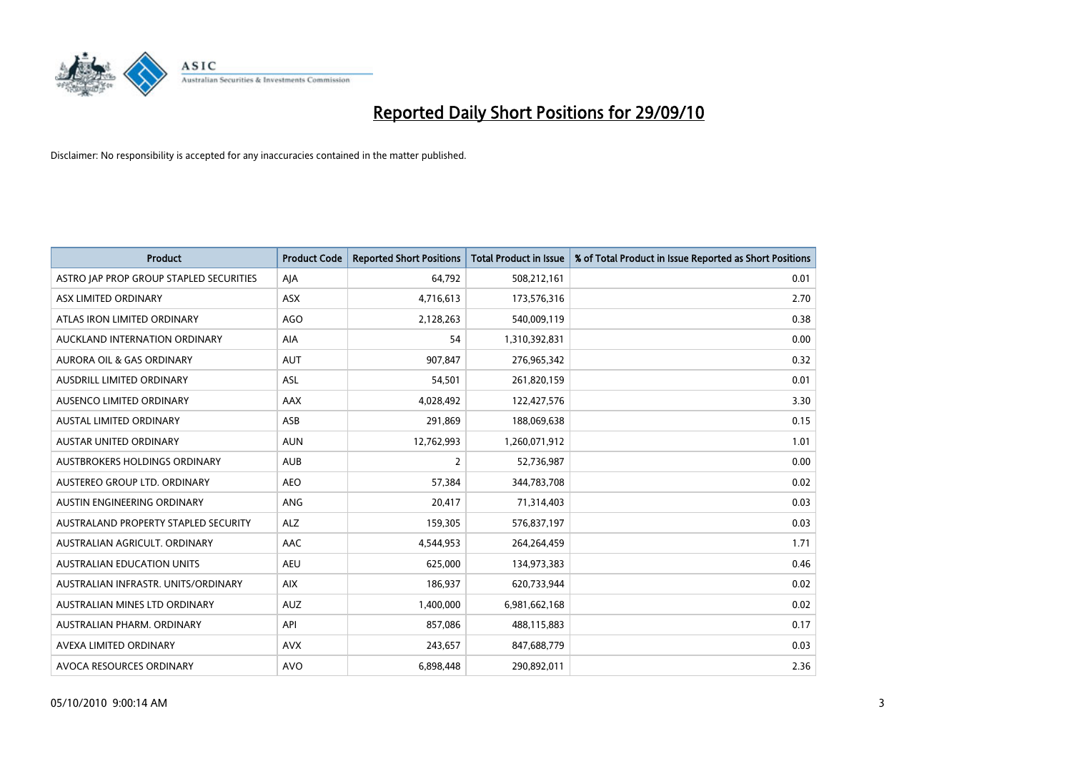

| <b>Product</b>                          | <b>Product Code</b> | <b>Reported Short Positions</b> | Total Product in Issue | % of Total Product in Issue Reported as Short Positions |
|-----------------------------------------|---------------------|---------------------------------|------------------------|---------------------------------------------------------|
| ASTRO JAP PROP GROUP STAPLED SECURITIES | AJA                 | 64,792                          | 508,212,161            | 0.01                                                    |
| ASX LIMITED ORDINARY                    | <b>ASX</b>          | 4,716,613                       | 173,576,316            | 2.70                                                    |
| ATLAS IRON LIMITED ORDINARY             | AGO                 | 2,128,263                       | 540,009,119            | 0.38                                                    |
| AUCKLAND INTERNATION ORDINARY           | AIA                 | 54                              | 1,310,392,831          | 0.00                                                    |
| <b>AURORA OIL &amp; GAS ORDINARY</b>    | <b>AUT</b>          | 907,847                         | 276,965,342            | 0.32                                                    |
| AUSDRILL LIMITED ORDINARY               | <b>ASL</b>          | 54,501                          | 261,820,159            | 0.01                                                    |
| AUSENCO LIMITED ORDINARY                | AAX                 | 4,028,492                       | 122,427,576            | 3.30                                                    |
| AUSTAL LIMITED ORDINARY                 | ASB                 | 291,869                         | 188,069,638            | 0.15                                                    |
| <b>AUSTAR UNITED ORDINARY</b>           | <b>AUN</b>          | 12,762,993                      | 1,260,071,912          | 1.01                                                    |
| AUSTBROKERS HOLDINGS ORDINARY           | <b>AUB</b>          | $\overline{2}$                  | 52,736,987             | 0.00                                                    |
| AUSTEREO GROUP LTD. ORDINARY            | <b>AEO</b>          | 57,384                          | 344,783,708            | 0.02                                                    |
| AUSTIN ENGINEERING ORDINARY             | ANG                 | 20,417                          | 71,314,403             | 0.03                                                    |
| AUSTRALAND PROPERTY STAPLED SECURITY    | <b>ALZ</b>          | 159,305                         | 576,837,197            | 0.03                                                    |
| AUSTRALIAN AGRICULT, ORDINARY           | AAC                 | 4,544,953                       | 264,264,459            | 1.71                                                    |
| <b>AUSTRALIAN EDUCATION UNITS</b>       | <b>AEU</b>          | 625,000                         | 134,973,383            | 0.46                                                    |
| AUSTRALIAN INFRASTR. UNITS/ORDINARY     | <b>AIX</b>          | 186,937                         | 620,733,944            | 0.02                                                    |
| AUSTRALIAN MINES LTD ORDINARY           | <b>AUZ</b>          | 1,400,000                       | 6,981,662,168          | 0.02                                                    |
| AUSTRALIAN PHARM. ORDINARY              | API                 | 857,086                         | 488,115,883            | 0.17                                                    |
| AVEXA LIMITED ORDINARY                  | <b>AVX</b>          | 243,657                         | 847,688,779            | 0.03                                                    |
| AVOCA RESOURCES ORDINARY                | <b>AVO</b>          | 6,898,448                       | 290,892,011            | 2.36                                                    |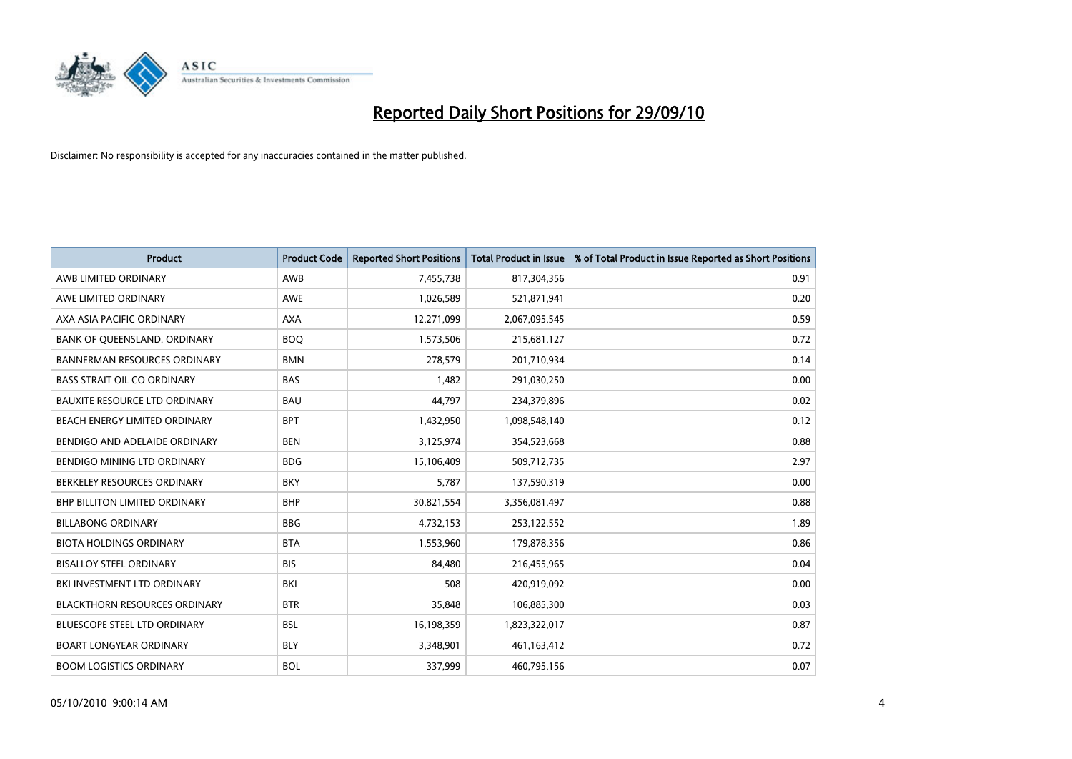

| <b>Product</b>                       | <b>Product Code</b> | <b>Reported Short Positions</b> | <b>Total Product in Issue</b> | % of Total Product in Issue Reported as Short Positions |
|--------------------------------------|---------------------|---------------------------------|-------------------------------|---------------------------------------------------------|
| AWB LIMITED ORDINARY                 | AWB                 | 7,455,738                       | 817,304,356                   | 0.91                                                    |
| AWE LIMITED ORDINARY                 | AWE                 | 1,026,589                       | 521,871,941                   | 0.20                                                    |
| AXA ASIA PACIFIC ORDINARY            | <b>AXA</b>          | 12,271,099                      | 2,067,095,545                 | 0.59                                                    |
| BANK OF QUEENSLAND. ORDINARY         | <b>BOO</b>          | 1,573,506                       | 215,681,127                   | 0.72                                                    |
| <b>BANNERMAN RESOURCES ORDINARY</b>  | <b>BMN</b>          | 278,579                         | 201,710,934                   | 0.14                                                    |
| <b>BASS STRAIT OIL CO ORDINARY</b>   | <b>BAS</b>          | 1,482                           | 291,030,250                   | 0.00                                                    |
| <b>BAUXITE RESOURCE LTD ORDINARY</b> | <b>BAU</b>          | 44,797                          | 234,379,896                   | 0.02                                                    |
| BEACH ENERGY LIMITED ORDINARY        | <b>BPT</b>          | 1,432,950                       | 1,098,548,140                 | 0.12                                                    |
| BENDIGO AND ADELAIDE ORDINARY        | <b>BEN</b>          | 3,125,974                       | 354,523,668                   | 0.88                                                    |
| BENDIGO MINING LTD ORDINARY          | <b>BDG</b>          | 15,106,409                      | 509,712,735                   | 2.97                                                    |
| BERKELEY RESOURCES ORDINARY          | <b>BKY</b>          | 5,787                           | 137,590,319                   | 0.00                                                    |
| <b>BHP BILLITON LIMITED ORDINARY</b> | <b>BHP</b>          | 30,821,554                      | 3,356,081,497                 | 0.88                                                    |
| <b>BILLABONG ORDINARY</b>            | <b>BBG</b>          | 4,732,153                       | 253,122,552                   | 1.89                                                    |
| <b>BIOTA HOLDINGS ORDINARY</b>       | <b>BTA</b>          | 1,553,960                       | 179,878,356                   | 0.86                                                    |
| <b>BISALLOY STEEL ORDINARY</b>       | <b>BIS</b>          | 84,480                          | 216,455,965                   | 0.04                                                    |
| BKI INVESTMENT LTD ORDINARY          | BKI                 | 508                             | 420,919,092                   | 0.00                                                    |
| <b>BLACKTHORN RESOURCES ORDINARY</b> | <b>BTR</b>          | 35,848                          | 106,885,300                   | 0.03                                                    |
| BLUESCOPE STEEL LTD ORDINARY         | <b>BSL</b>          | 16,198,359                      | 1,823,322,017                 | 0.87                                                    |
| <b>BOART LONGYEAR ORDINARY</b>       | <b>BLY</b>          | 3,348,901                       | 461,163,412                   | 0.72                                                    |
| <b>BOOM LOGISTICS ORDINARY</b>       | <b>BOL</b>          | 337,999                         | 460,795,156                   | 0.07                                                    |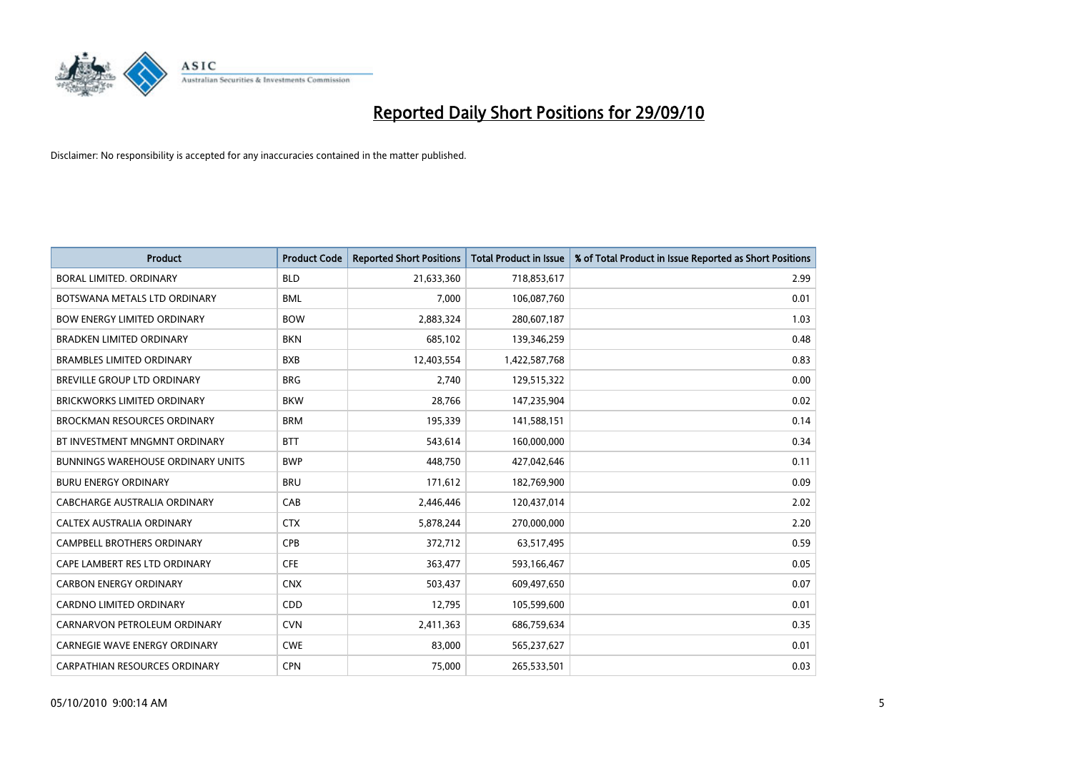

| <b>Product</b>                           | <b>Product Code</b> | <b>Reported Short Positions</b> | Total Product in Issue | % of Total Product in Issue Reported as Short Positions |
|------------------------------------------|---------------------|---------------------------------|------------------------|---------------------------------------------------------|
| BORAL LIMITED, ORDINARY                  | <b>BLD</b>          | 21,633,360                      | 718,853,617            | 2.99                                                    |
| BOTSWANA METALS LTD ORDINARY             | <b>BML</b>          | 7,000                           | 106,087,760            | 0.01                                                    |
| <b>BOW ENERGY LIMITED ORDINARY</b>       | <b>BOW</b>          | 2,883,324                       | 280,607,187            | 1.03                                                    |
| <b>BRADKEN LIMITED ORDINARY</b>          | <b>BKN</b>          | 685,102                         | 139,346,259            | 0.48                                                    |
| <b>BRAMBLES LIMITED ORDINARY</b>         | <b>BXB</b>          | 12,403,554                      | 1,422,587,768          | 0.83                                                    |
| BREVILLE GROUP LTD ORDINARY              | <b>BRG</b>          | 2,740                           | 129,515,322            | 0.00                                                    |
| <b>BRICKWORKS LIMITED ORDINARY</b>       | <b>BKW</b>          | 28,766                          | 147,235,904            | 0.02                                                    |
| BROCKMAN RESOURCES ORDINARY              | <b>BRM</b>          | 195,339                         | 141,588,151            | 0.14                                                    |
| BT INVESTMENT MNGMNT ORDINARY            | <b>BTT</b>          | 543,614                         | 160,000,000            | 0.34                                                    |
| <b>BUNNINGS WAREHOUSE ORDINARY UNITS</b> | <b>BWP</b>          | 448,750                         | 427,042,646            | 0.11                                                    |
| <b>BURU ENERGY ORDINARY</b>              | <b>BRU</b>          | 171,612                         | 182,769,900            | 0.09                                                    |
| CABCHARGE AUSTRALIA ORDINARY             | CAB                 | 2,446,446                       | 120,437,014            | 2.02                                                    |
| CALTEX AUSTRALIA ORDINARY                | <b>CTX</b>          | 5,878,244                       | 270,000,000            | 2.20                                                    |
| <b>CAMPBELL BROTHERS ORDINARY</b>        | <b>CPB</b>          | 372,712                         | 63,517,495             | 0.59                                                    |
| CAPE LAMBERT RES LTD ORDINARY            | <b>CFE</b>          | 363,477                         | 593,166,467            | 0.05                                                    |
| <b>CARBON ENERGY ORDINARY</b>            | <b>CNX</b>          | 503,437                         | 609,497,650            | 0.07                                                    |
| CARDNO LIMITED ORDINARY                  | CDD                 | 12,795                          | 105,599,600            | 0.01                                                    |
| CARNARVON PETROLEUM ORDINARY             | <b>CVN</b>          | 2,411,363                       | 686,759,634            | 0.35                                                    |
| <b>CARNEGIE WAVE ENERGY ORDINARY</b>     | <b>CWE</b>          | 83,000                          | 565,237,627            | 0.01                                                    |
| CARPATHIAN RESOURCES ORDINARY            | <b>CPN</b>          | 75,000                          | 265,533,501            | 0.03                                                    |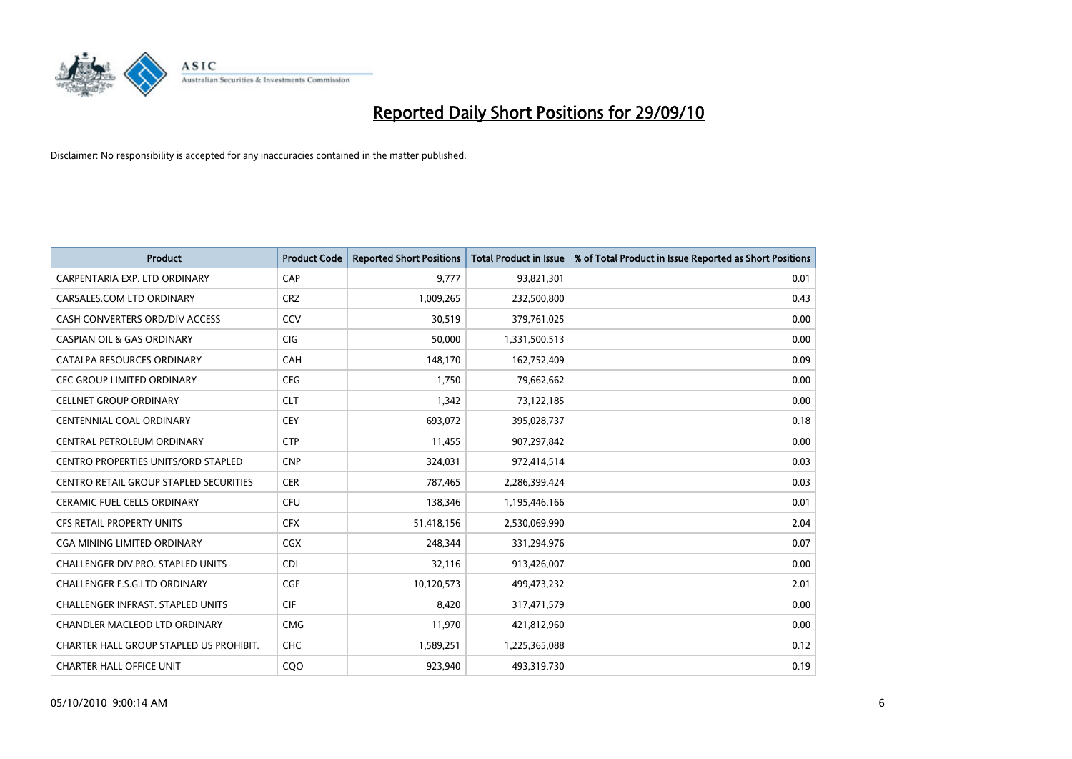

| <b>Product</b>                                | <b>Product Code</b> | <b>Reported Short Positions</b> | <b>Total Product in Issue</b> | % of Total Product in Issue Reported as Short Positions |
|-----------------------------------------------|---------------------|---------------------------------|-------------------------------|---------------------------------------------------------|
| CARPENTARIA EXP. LTD ORDINARY                 | CAP                 | 9.777                           | 93,821,301                    | 0.01                                                    |
| CARSALES.COM LTD ORDINARY                     | <b>CRZ</b>          | 1,009,265                       | 232,500,800                   | 0.43                                                    |
| CASH CONVERTERS ORD/DIV ACCESS                | CCV                 | 30,519                          | 379,761,025                   | 0.00                                                    |
| <b>CASPIAN OIL &amp; GAS ORDINARY</b>         | CIG                 | 50,000                          | 1,331,500,513                 | 0.00                                                    |
| CATALPA RESOURCES ORDINARY                    | CAH                 | 148,170                         | 162,752,409                   | 0.09                                                    |
| <b>CEC GROUP LIMITED ORDINARY</b>             | <b>CEG</b>          | 1,750                           | 79,662,662                    | 0.00                                                    |
| <b>CELLNET GROUP ORDINARY</b>                 | <b>CLT</b>          | 1,342                           | 73,122,185                    | 0.00                                                    |
| CENTENNIAL COAL ORDINARY                      | <b>CEY</b>          | 693,072                         | 395,028,737                   | 0.18                                                    |
| CENTRAL PETROLEUM ORDINARY                    | <b>CTP</b>          | 11,455                          | 907,297,842                   | 0.00                                                    |
| <b>CENTRO PROPERTIES UNITS/ORD STAPLED</b>    | <b>CNP</b>          | 324,031                         | 972,414,514                   | 0.03                                                    |
| <b>CENTRO RETAIL GROUP STAPLED SECURITIES</b> | <b>CER</b>          | 787,465                         | 2,286,399,424                 | 0.03                                                    |
| <b>CERAMIC FUEL CELLS ORDINARY</b>            | <b>CFU</b>          | 138,346                         | 1,195,446,166                 | 0.01                                                    |
| <b>CFS RETAIL PROPERTY UNITS</b>              | <b>CFX</b>          | 51,418,156                      | 2,530,069,990                 | 2.04                                                    |
| <b>CGA MINING LIMITED ORDINARY</b>            | CGX                 | 248,344                         | 331,294,976                   | 0.07                                                    |
| <b>CHALLENGER DIV.PRO. STAPLED UNITS</b>      | <b>CDI</b>          | 32,116                          | 913,426,007                   | 0.00                                                    |
| CHALLENGER F.S.G.LTD ORDINARY                 | CGF                 | 10,120,573                      | 499,473,232                   | 2.01                                                    |
| <b>CHALLENGER INFRAST, STAPLED UNITS</b>      | <b>CIF</b>          | 8,420                           | 317,471,579                   | 0.00                                                    |
| CHANDLER MACLEOD LTD ORDINARY                 | <b>CMG</b>          | 11,970                          | 421,812,960                   | 0.00                                                    |
| CHARTER HALL GROUP STAPLED US PROHIBIT.       | <b>CHC</b>          | 1,589,251                       | 1,225,365,088                 | 0.12                                                    |
| <b>CHARTER HALL OFFICE UNIT</b>               | COO                 | 923.940                         | 493,319,730                   | 0.19                                                    |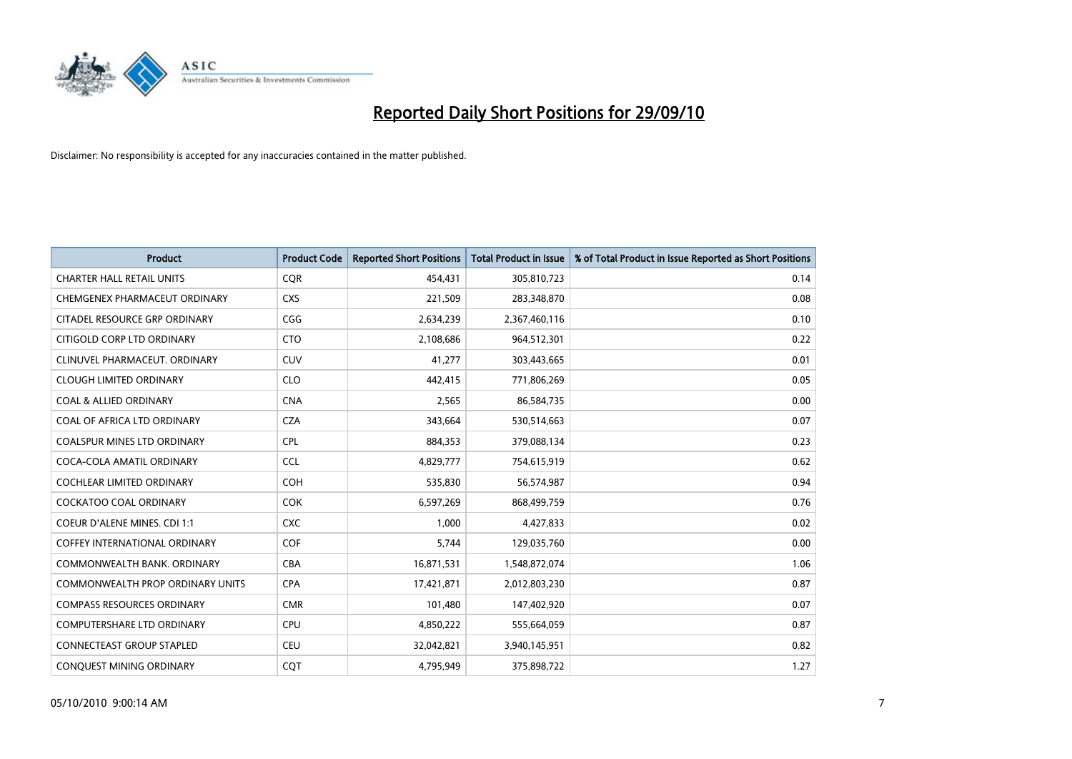

| <b>Product</b>                          | <b>Product Code</b> | <b>Reported Short Positions</b> | <b>Total Product in Issue</b> | % of Total Product in Issue Reported as Short Positions |
|-----------------------------------------|---------------------|---------------------------------|-------------------------------|---------------------------------------------------------|
| <b>CHARTER HALL RETAIL UNITS</b>        | CQR                 | 454,431                         | 305,810,723                   | 0.14                                                    |
| CHEMGENEX PHARMACEUT ORDINARY           | <b>CXS</b>          | 221,509                         | 283,348,870                   | 0.08                                                    |
| CITADEL RESOURCE GRP ORDINARY           | CGG                 | 2,634,239                       | 2,367,460,116                 | 0.10                                                    |
| CITIGOLD CORP LTD ORDINARY              | <b>CTO</b>          | 2,108,686                       | 964,512,301                   | 0.22                                                    |
| CLINUVEL PHARMACEUT, ORDINARY           | <b>CUV</b>          | 41,277                          | 303,443,665                   | 0.01                                                    |
| <b>CLOUGH LIMITED ORDINARY</b>          | <b>CLO</b>          | 442,415                         | 771,806,269                   | 0.05                                                    |
| <b>COAL &amp; ALLIED ORDINARY</b>       | <b>CNA</b>          | 2,565                           | 86,584,735                    | 0.00                                                    |
| COAL OF AFRICA LTD ORDINARY             | <b>CZA</b>          | 343,664                         | 530,514,663                   | 0.07                                                    |
| <b>COALSPUR MINES LTD ORDINARY</b>      | <b>CPL</b>          | 884,353                         | 379,088,134                   | 0.23                                                    |
| COCA-COLA AMATIL ORDINARY               | <b>CCL</b>          | 4,829,777                       | 754,615,919                   | 0.62                                                    |
| COCHLEAR LIMITED ORDINARY               | <b>COH</b>          | 535,830                         | 56,574,987                    | 0.94                                                    |
| <b>COCKATOO COAL ORDINARY</b>           | <b>COK</b>          | 6,597,269                       | 868,499,759                   | 0.76                                                    |
| COEUR D'ALENE MINES. CDI 1:1            | <b>CXC</b>          | 1,000                           | 4,427,833                     | 0.02                                                    |
| <b>COFFEY INTERNATIONAL ORDINARY</b>    | <b>COF</b>          | 5,744                           | 129,035,760                   | 0.00                                                    |
| COMMONWEALTH BANK, ORDINARY             | <b>CBA</b>          | 16,871,531                      | 1,548,872,074                 | 1.06                                                    |
| <b>COMMONWEALTH PROP ORDINARY UNITS</b> | <b>CPA</b>          | 17,421,871                      | 2,012,803,230                 | 0.87                                                    |
| <b>COMPASS RESOURCES ORDINARY</b>       | <b>CMR</b>          | 101,480                         | 147,402,920                   | 0.07                                                    |
| COMPUTERSHARE LTD ORDINARY              | <b>CPU</b>          | 4,850,222                       | 555,664,059                   | 0.87                                                    |
| <b>CONNECTEAST GROUP STAPLED</b>        | <b>CEU</b>          | 32,042,821                      | 3,940,145,951                 | 0.82                                                    |
| CONQUEST MINING ORDINARY                | <b>COT</b>          | 4,795,949                       | 375,898,722                   | 1.27                                                    |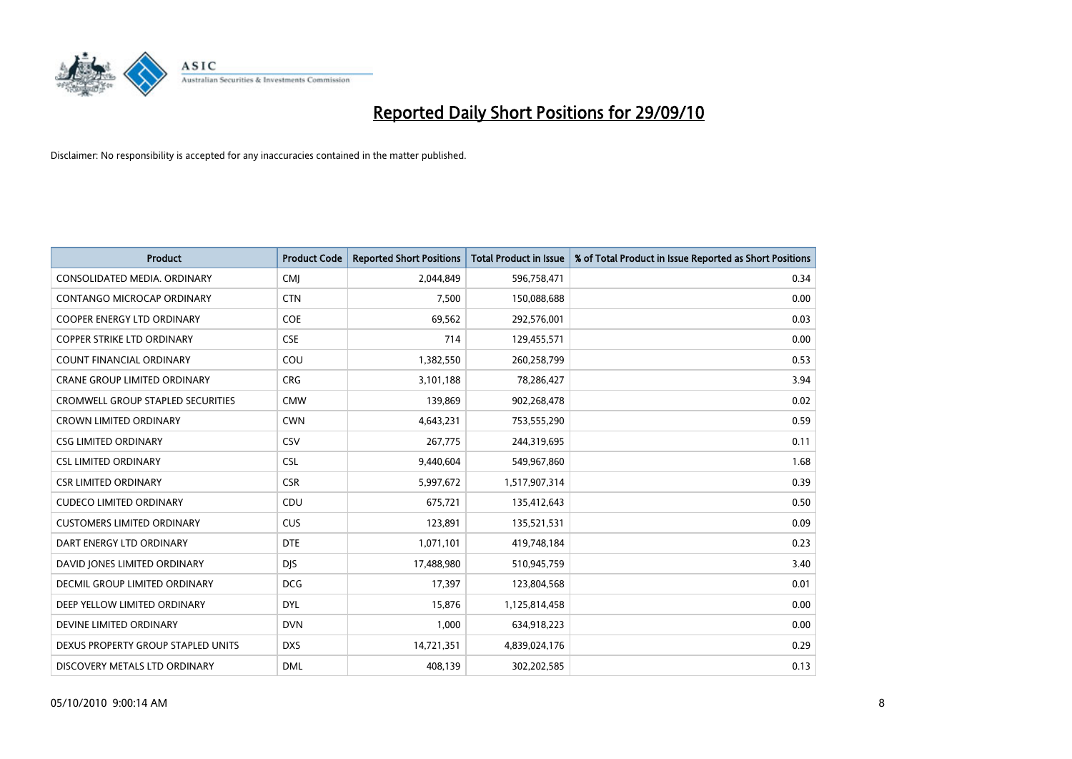

| <b>Product</b>                           | <b>Product Code</b> | <b>Reported Short Positions</b> | Total Product in Issue | % of Total Product in Issue Reported as Short Positions |
|------------------------------------------|---------------------|---------------------------------|------------------------|---------------------------------------------------------|
| CONSOLIDATED MEDIA, ORDINARY             | CMJ                 | 2,044,849                       | 596,758,471            | 0.34                                                    |
| CONTANGO MICROCAP ORDINARY               | <b>CTN</b>          | 7,500                           | 150,088,688            | 0.00                                                    |
| <b>COOPER ENERGY LTD ORDINARY</b>        | <b>COE</b>          | 69,562                          | 292,576,001            | 0.03                                                    |
| COPPER STRIKE LTD ORDINARY               | <b>CSE</b>          | 714                             | 129,455,571            | 0.00                                                    |
| <b>COUNT FINANCIAL ORDINARY</b>          | COU                 | 1,382,550                       | 260,258,799            | 0.53                                                    |
| <b>CRANE GROUP LIMITED ORDINARY</b>      | <b>CRG</b>          | 3,101,188                       | 78,286,427             | 3.94                                                    |
| <b>CROMWELL GROUP STAPLED SECURITIES</b> | <b>CMW</b>          | 139,869                         | 902,268,478            | 0.02                                                    |
| <b>CROWN LIMITED ORDINARY</b>            | <b>CWN</b>          | 4,643,231                       | 753,555,290            | 0.59                                                    |
| <b>CSG LIMITED ORDINARY</b>              | CSV                 | 267,775                         | 244,319,695            | 0.11                                                    |
| <b>CSL LIMITED ORDINARY</b>              | <b>CSL</b>          | 9,440,604                       | 549,967,860            | 1.68                                                    |
| CSR LIMITED ORDINARY                     | <b>CSR</b>          | 5,997,672                       | 1,517,907,314          | 0.39                                                    |
| <b>CUDECO LIMITED ORDINARY</b>           | CDU                 | 675,721                         | 135,412,643            | 0.50                                                    |
| <b>CUSTOMERS LIMITED ORDINARY</b>        | CUS                 | 123,891                         | 135,521,531            | 0.09                                                    |
| DART ENERGY LTD ORDINARY                 | <b>DTE</b>          | 1,071,101                       | 419,748,184            | 0.23                                                    |
| DAVID JONES LIMITED ORDINARY             | <b>DJS</b>          | 17,488,980                      | 510,945,759            | 3.40                                                    |
| DECMIL GROUP LIMITED ORDINARY            | <b>DCG</b>          | 17,397                          | 123,804,568            | 0.01                                                    |
| DEEP YELLOW LIMITED ORDINARY             | <b>DYL</b>          | 15,876                          | 1,125,814,458          | 0.00                                                    |
| DEVINE LIMITED ORDINARY                  | <b>DVN</b>          | 1,000                           | 634,918,223            | 0.00                                                    |
| DEXUS PROPERTY GROUP STAPLED UNITS       | <b>DXS</b>          | 14,721,351                      | 4,839,024,176          | 0.29                                                    |
| DISCOVERY METALS LTD ORDINARY            | <b>DML</b>          | 408.139                         | 302,202,585            | 0.13                                                    |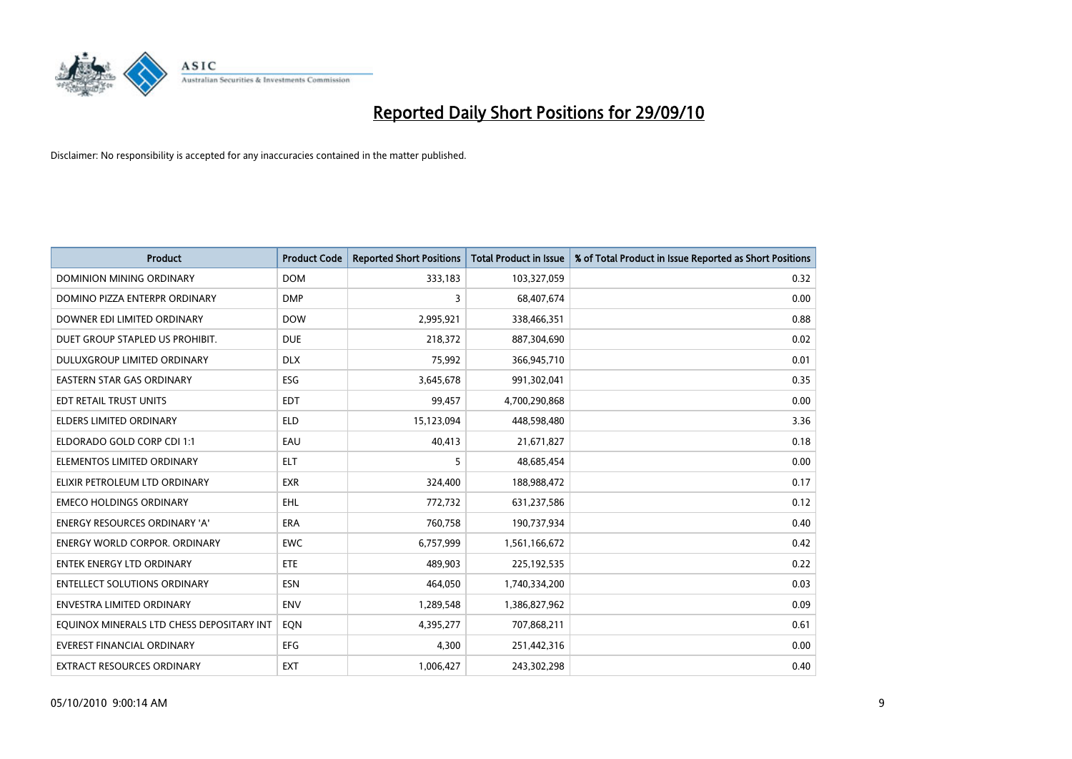

| <b>Product</b>                            | <b>Product Code</b> | <b>Reported Short Positions</b> | <b>Total Product in Issue</b> | % of Total Product in Issue Reported as Short Positions |
|-------------------------------------------|---------------------|---------------------------------|-------------------------------|---------------------------------------------------------|
| <b>DOMINION MINING ORDINARY</b>           | <b>DOM</b>          | 333,183                         | 103,327,059                   | 0.32                                                    |
| DOMINO PIZZA ENTERPR ORDINARY             | <b>DMP</b>          | 3                               | 68,407,674                    | 0.00                                                    |
| DOWNER EDI LIMITED ORDINARY               | <b>DOW</b>          | 2,995,921                       | 338,466,351                   | 0.88                                                    |
| DUET GROUP STAPLED US PROHIBIT.           | <b>DUE</b>          | 218,372                         | 887,304,690                   | 0.02                                                    |
| DULUXGROUP LIMITED ORDINARY               | <b>DLX</b>          | 75,992                          | 366,945,710                   | 0.01                                                    |
| <b>EASTERN STAR GAS ORDINARY</b>          | <b>ESG</b>          | 3,645,678                       | 991,302,041                   | 0.35                                                    |
| EDT RETAIL TRUST UNITS                    | <b>EDT</b>          | 99,457                          | 4,700,290,868                 | 0.00                                                    |
| <b>ELDERS LIMITED ORDINARY</b>            | <b>ELD</b>          | 15,123,094                      | 448,598,480                   | 3.36                                                    |
| ELDORADO GOLD CORP CDI 1:1                | EAU                 | 40,413                          | 21,671,827                    | 0.18                                                    |
| ELEMENTOS LIMITED ORDINARY                | <b>ELT</b>          | 5                               | 48,685,454                    | 0.00                                                    |
| ELIXIR PETROLEUM LTD ORDINARY             | <b>EXR</b>          | 324,400                         | 188,988,472                   | 0.17                                                    |
| <b>EMECO HOLDINGS ORDINARY</b>            | <b>EHL</b>          | 772,732                         | 631,237,586                   | 0.12                                                    |
| <b>ENERGY RESOURCES ORDINARY 'A'</b>      | <b>ERA</b>          | 760,758                         | 190,737,934                   | 0.40                                                    |
| <b>ENERGY WORLD CORPOR, ORDINARY</b>      | <b>EWC</b>          | 6,757,999                       | 1,561,166,672                 | 0.42                                                    |
| <b>ENTEK ENERGY LTD ORDINARY</b>          | <b>ETE</b>          | 489.903                         | 225,192,535                   | 0.22                                                    |
| <b>ENTELLECT SOLUTIONS ORDINARY</b>       | <b>ESN</b>          | 464,050                         | 1,740,334,200                 | 0.03                                                    |
| ENVESTRA LIMITED ORDINARY                 | <b>ENV</b>          | 1,289,548                       | 1,386,827,962                 | 0.09                                                    |
| EQUINOX MINERALS LTD CHESS DEPOSITARY INT | EON                 | 4,395,277                       | 707,868,211                   | 0.61                                                    |
| <b>EVEREST FINANCIAL ORDINARY</b>         | <b>EFG</b>          | 4,300                           | 251,442,316                   | 0.00                                                    |
| EXTRACT RESOURCES ORDINARY                | <b>EXT</b>          | 1,006,427                       | 243,302,298                   | 0.40                                                    |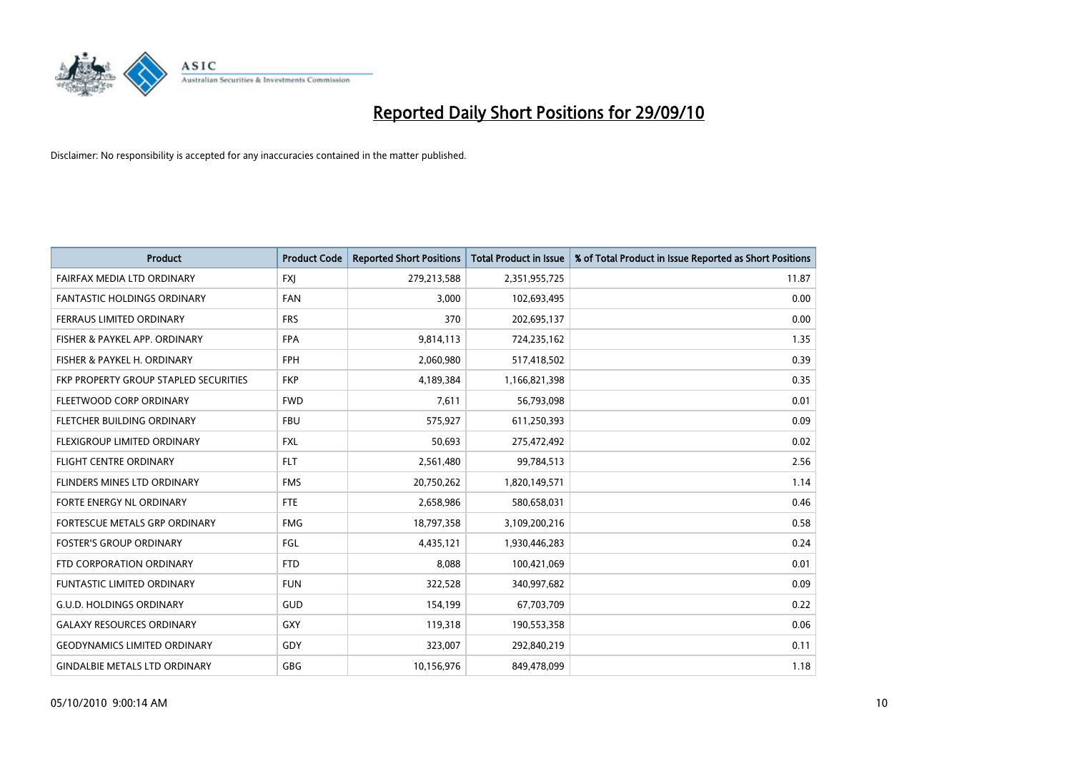

| <b>Product</b>                        | <b>Product Code</b> | <b>Reported Short Positions</b> | <b>Total Product in Issue</b> | % of Total Product in Issue Reported as Short Positions |
|---------------------------------------|---------------------|---------------------------------|-------------------------------|---------------------------------------------------------|
| FAIRFAX MEDIA LTD ORDINARY            | <b>FXJ</b>          | 279,213,588                     | 2,351,955,725                 | 11.87                                                   |
| <b>FANTASTIC HOLDINGS ORDINARY</b>    | <b>FAN</b>          | 3,000                           | 102,693,495                   | 0.00                                                    |
| FERRAUS LIMITED ORDINARY              | <b>FRS</b>          | 370                             | 202,695,137                   | 0.00                                                    |
| FISHER & PAYKEL APP. ORDINARY         | <b>FPA</b>          | 9,814,113                       | 724,235,162                   | 1.35                                                    |
| FISHER & PAYKEL H. ORDINARY           | <b>FPH</b>          | 2,060,980                       | 517,418,502                   | 0.39                                                    |
| FKP PROPERTY GROUP STAPLED SECURITIES | <b>FKP</b>          | 4,189,384                       | 1,166,821,398                 | 0.35                                                    |
| FLEETWOOD CORP ORDINARY               | <b>FWD</b>          | 7,611                           | 56,793,098                    | 0.01                                                    |
| FLETCHER BUILDING ORDINARY            | <b>FBU</b>          | 575,927                         | 611,250,393                   | 0.09                                                    |
| FLEXIGROUP LIMITED ORDINARY           | <b>FXL</b>          | 50,693                          | 275,472,492                   | 0.02                                                    |
| <b>FLIGHT CENTRE ORDINARY</b>         | <b>FLT</b>          | 2,561,480                       | 99,784,513                    | 2.56                                                    |
| FLINDERS MINES LTD ORDINARY           | <b>FMS</b>          | 20,750,262                      | 1,820,149,571                 | 1.14                                                    |
| FORTE ENERGY NL ORDINARY              | <b>FTE</b>          | 2,658,986                       | 580,658,031                   | 0.46                                                    |
| FORTESCUE METALS GRP ORDINARY         | <b>FMG</b>          | 18,797,358                      | 3,109,200,216                 | 0.58                                                    |
| <b>FOSTER'S GROUP ORDINARY</b>        | FGL                 | 4,435,121                       | 1,930,446,283                 | 0.24                                                    |
| FTD CORPORATION ORDINARY              | <b>FTD</b>          | 8,088                           | 100,421,069                   | 0.01                                                    |
| <b>FUNTASTIC LIMITED ORDINARY</b>     | <b>FUN</b>          | 322,528                         | 340,997,682                   | 0.09                                                    |
| <b>G.U.D. HOLDINGS ORDINARY</b>       | GUD                 | 154,199                         | 67,703,709                    | 0.22                                                    |
| <b>GALAXY RESOURCES ORDINARY</b>      | <b>GXY</b>          | 119,318                         | 190,553,358                   | 0.06                                                    |
| <b>GEODYNAMICS LIMITED ORDINARY</b>   | GDY                 | 323,007                         | 292,840,219                   | 0.11                                                    |
| <b>GINDALBIE METALS LTD ORDINARY</b>  | <b>GBG</b>          | 10,156,976                      | 849,478,099                   | 1.18                                                    |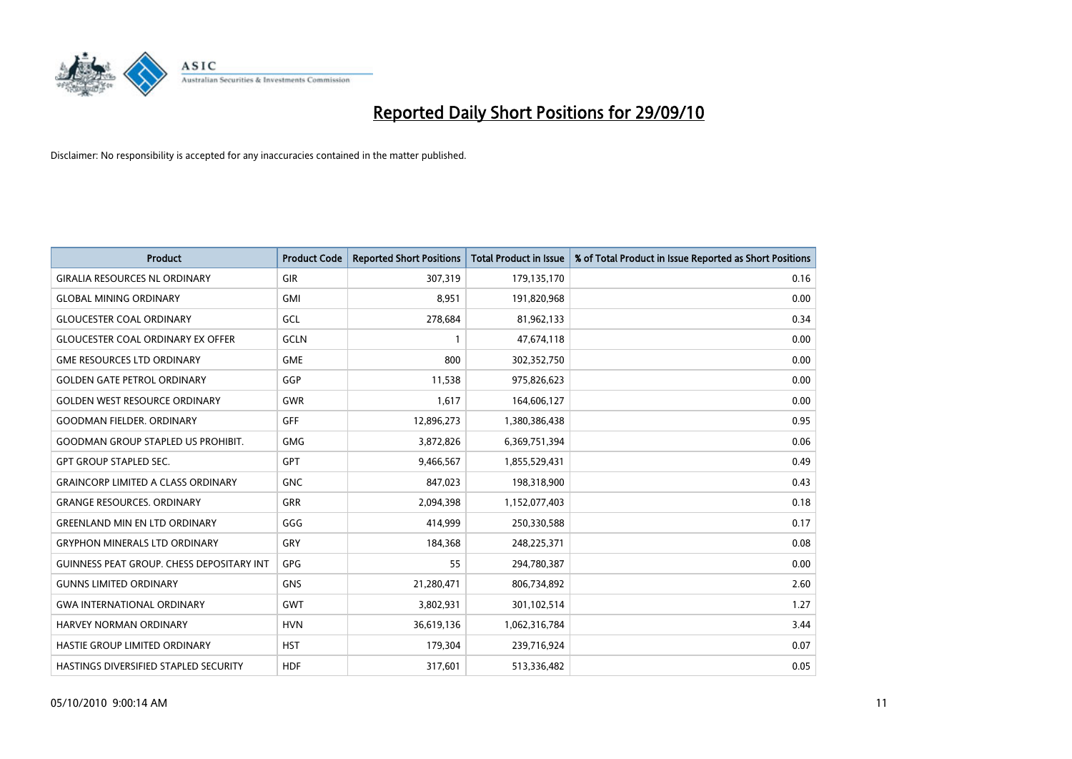

| <b>Product</b>                            | <b>Product Code</b> | <b>Reported Short Positions</b> | Total Product in Issue | % of Total Product in Issue Reported as Short Positions |
|-------------------------------------------|---------------------|---------------------------------|------------------------|---------------------------------------------------------|
| <b>GIRALIA RESOURCES NL ORDINARY</b>      | <b>GIR</b>          | 307,319                         | 179,135,170            | 0.16                                                    |
| <b>GLOBAL MINING ORDINARY</b>             | <b>GMI</b>          | 8,951                           | 191,820,968            | 0.00                                                    |
| <b>GLOUCESTER COAL ORDINARY</b>           | <b>GCL</b>          | 278,684                         | 81,962,133             | 0.34                                                    |
| <b>GLOUCESTER COAL ORDINARY EX OFFER</b>  | GCLN                | 1                               | 47,674,118             | 0.00                                                    |
| <b>GME RESOURCES LTD ORDINARY</b>         | <b>GME</b>          | 800                             | 302,352,750            | 0.00                                                    |
| <b>GOLDEN GATE PETROL ORDINARY</b>        | GGP                 | 11,538                          | 975,826,623            | 0.00                                                    |
| <b>GOLDEN WEST RESOURCE ORDINARY</b>      | <b>GWR</b>          | 1,617                           | 164,606,127            | 0.00                                                    |
| <b>GOODMAN FIELDER, ORDINARY</b>          | <b>GFF</b>          | 12,896,273                      | 1,380,386,438          | 0.95                                                    |
| <b>GOODMAN GROUP STAPLED US PROHIBIT.</b> | <b>GMG</b>          | 3,872,826                       | 6,369,751,394          | 0.06                                                    |
| <b>GPT GROUP STAPLED SEC.</b>             | <b>GPT</b>          | 9,466,567                       | 1,855,529,431          | 0.49                                                    |
| <b>GRAINCORP LIMITED A CLASS ORDINARY</b> | <b>GNC</b>          | 847,023                         | 198,318,900            | 0.43                                                    |
| <b>GRANGE RESOURCES, ORDINARY</b>         | <b>GRR</b>          | 2,094,398                       | 1,152,077,403          | 0.18                                                    |
| <b>GREENLAND MIN EN LTD ORDINARY</b>      | GGG                 | 414,999                         | 250,330,588            | 0.17                                                    |
| <b>GRYPHON MINERALS LTD ORDINARY</b>      | GRY                 | 184,368                         | 248,225,371            | 0.08                                                    |
| GUINNESS PEAT GROUP. CHESS DEPOSITARY INT | GPG                 | 55                              | 294,780,387            | 0.00                                                    |
| <b>GUNNS LIMITED ORDINARY</b>             | <b>GNS</b>          | 21,280,471                      | 806,734,892            | 2.60                                                    |
| <b>GWA INTERNATIONAL ORDINARY</b>         | <b>GWT</b>          | 3,802,931                       | 301,102,514            | 1.27                                                    |
| HARVEY NORMAN ORDINARY                    | <b>HVN</b>          | 36,619,136                      | 1,062,316,784          | 3.44                                                    |
| HASTIE GROUP LIMITED ORDINARY             | <b>HST</b>          | 179,304                         | 239,716,924            | 0.07                                                    |
| HASTINGS DIVERSIFIED STAPLED SECURITY     | <b>HDF</b>          | 317,601                         | 513,336,482            | 0.05                                                    |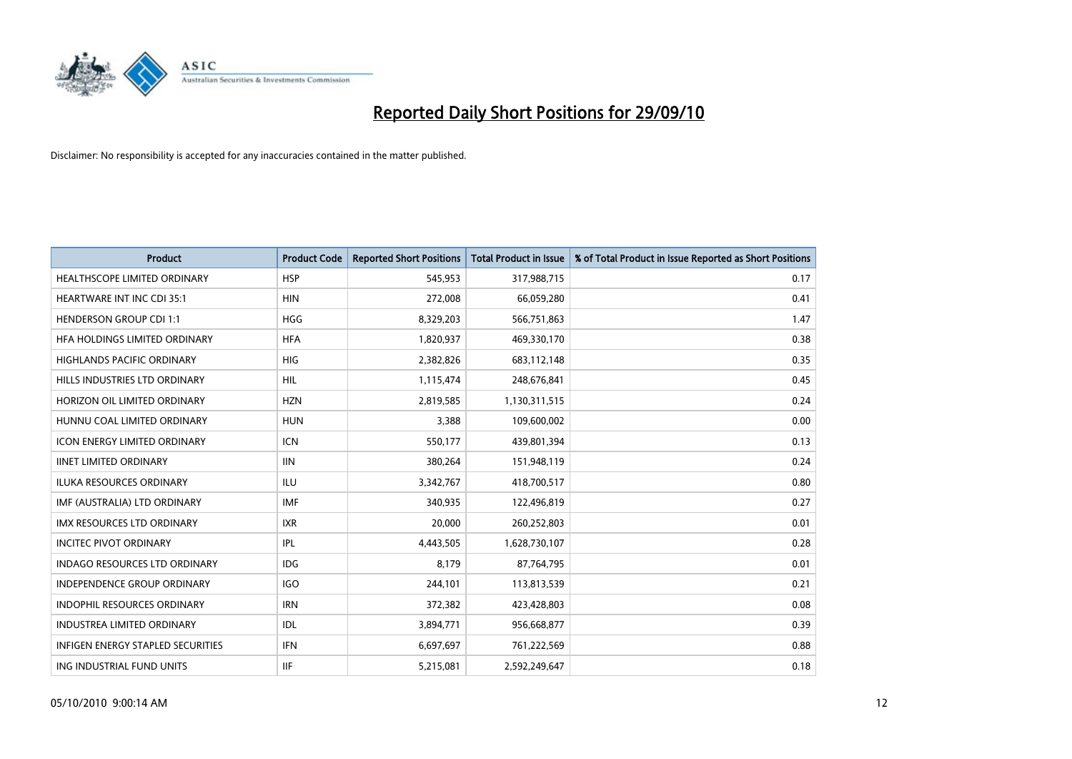

| <b>Product</b>                           | <b>Product Code</b> | <b>Reported Short Positions</b> | Total Product in Issue | % of Total Product in Issue Reported as Short Positions |
|------------------------------------------|---------------------|---------------------------------|------------------------|---------------------------------------------------------|
| <b>HEALTHSCOPE LIMITED ORDINARY</b>      | <b>HSP</b>          | 545,953                         | 317,988,715            | 0.17                                                    |
| <b>HEARTWARE INT INC CDI 35:1</b>        | <b>HIN</b>          | 272,008                         | 66,059,280             | 0.41                                                    |
| <b>HENDERSON GROUP CDI 1:1</b>           | <b>HGG</b>          | 8,329,203                       | 566,751,863            | 1.47                                                    |
| HFA HOLDINGS LIMITED ORDINARY            | <b>HFA</b>          | 1,820,937                       | 469,330,170            | 0.38                                                    |
| <b>HIGHLANDS PACIFIC ORDINARY</b>        | <b>HIG</b>          | 2,382,826                       | 683,112,148            | 0.35                                                    |
| HILLS INDUSTRIES LTD ORDINARY            | <b>HIL</b>          | 1,115,474                       | 248,676,841            | 0.45                                                    |
| HORIZON OIL LIMITED ORDINARY             | <b>HZN</b>          | 2,819,585                       | 1,130,311,515          | 0.24                                                    |
| HUNNU COAL LIMITED ORDINARY              | <b>HUN</b>          | 3,388                           | 109,600,002            | 0.00                                                    |
| <b>ICON ENERGY LIMITED ORDINARY</b>      | <b>ICN</b>          | 550,177                         | 439,801,394            | 0.13                                                    |
| <b>IINET LIMITED ORDINARY</b>            | <b>IIN</b>          | 380,264                         | 151,948,119            | 0.24                                                    |
| ILUKA RESOURCES ORDINARY                 | ILU                 | 3,342,767                       | 418,700,517            | 0.80                                                    |
| IMF (AUSTRALIA) LTD ORDINARY             | <b>IMF</b>          | 340,935                         | 122,496,819            | 0.27                                                    |
| IMX RESOURCES LTD ORDINARY               | <b>IXR</b>          | 20,000                          | 260,252,803            | 0.01                                                    |
| <b>INCITEC PIVOT ORDINARY</b>            | IPL                 | 4,443,505                       | 1,628,730,107          | 0.28                                                    |
| <b>INDAGO RESOURCES LTD ORDINARY</b>     | <b>IDG</b>          | 8,179                           | 87,764,795             | 0.01                                                    |
| INDEPENDENCE GROUP ORDINARY              | <b>IGO</b>          | 244,101                         | 113,813,539            | 0.21                                                    |
| INDOPHIL RESOURCES ORDINARY              | <b>IRN</b>          | 372,382                         | 423,428,803            | 0.08                                                    |
| <b>INDUSTREA LIMITED ORDINARY</b>        | IDL                 | 3,894,771                       | 956,668,877            | 0.39                                                    |
| <b>INFIGEN ENERGY STAPLED SECURITIES</b> | <b>IFN</b>          | 6,697,697                       | 761,222,569            | 0.88                                                    |
| ING INDUSTRIAL FUND UNITS                | <b>IIF</b>          | 5,215,081                       | 2,592,249,647          | 0.18                                                    |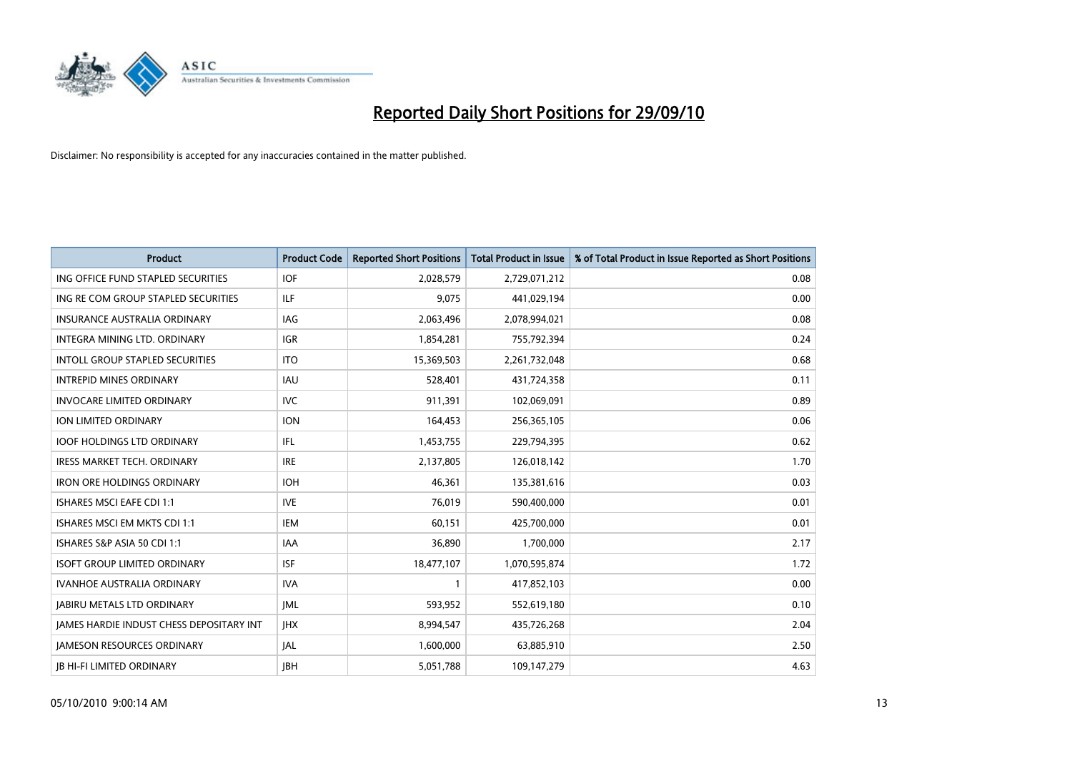

| <b>Product</b>                           | <b>Product Code</b> | <b>Reported Short Positions</b> | <b>Total Product in Issue</b> | % of Total Product in Issue Reported as Short Positions |
|------------------------------------------|---------------------|---------------------------------|-------------------------------|---------------------------------------------------------|
| ING OFFICE FUND STAPLED SECURITIES       | <b>IOF</b>          | 2,028,579                       | 2,729,071,212                 | 0.08                                                    |
| ING RE COM GROUP STAPLED SECURITIES      | <b>ILF</b>          | 9,075                           | 441,029,194                   | 0.00                                                    |
| <b>INSURANCE AUSTRALIA ORDINARY</b>      | <b>IAG</b>          | 2,063,496                       | 2,078,994,021                 | 0.08                                                    |
| INTEGRA MINING LTD. ORDINARY             | <b>IGR</b>          | 1,854,281                       | 755,792,394                   | 0.24                                                    |
| <b>INTOLL GROUP STAPLED SECURITIES</b>   | <b>ITO</b>          | 15,369,503                      | 2,261,732,048                 | 0.68                                                    |
| <b>INTREPID MINES ORDINARY</b>           | <b>IAU</b>          | 528,401                         | 431,724,358                   | 0.11                                                    |
| <b>INVOCARE LIMITED ORDINARY</b>         | <b>IVC</b>          | 911.391                         | 102,069,091                   | 0.89                                                    |
| ION LIMITED ORDINARY                     | <b>ION</b>          | 164,453                         | 256,365,105                   | 0.06                                                    |
| <b>IOOF HOLDINGS LTD ORDINARY</b>        | <b>IFL</b>          | 1,453,755                       | 229,794,395                   | 0.62                                                    |
| <b>IRESS MARKET TECH. ORDINARY</b>       | <b>IRE</b>          | 2,137,805                       | 126,018,142                   | 1.70                                                    |
| <b>IRON ORE HOLDINGS ORDINARY</b>        | <b>IOH</b>          | 46,361                          | 135,381,616                   | 0.03                                                    |
| <b>ISHARES MSCI EAFE CDI 1:1</b>         | <b>IVE</b>          | 76.019                          | 590,400,000                   | 0.01                                                    |
| ISHARES MSCI EM MKTS CDI 1:1             | <b>IEM</b>          | 60,151                          | 425,700,000                   | 0.01                                                    |
| ISHARES S&P ASIA 50 CDI 1:1              | <b>IAA</b>          | 36,890                          | 1,700,000                     | 2.17                                                    |
| <b>ISOFT GROUP LIMITED ORDINARY</b>      | <b>ISF</b>          | 18,477,107                      | 1,070,595,874                 | 1.72                                                    |
| IVANHOE AUSTRALIA ORDINARY               | <b>IVA</b>          |                                 | 417,852,103                   | 0.00                                                    |
| <b>JABIRU METALS LTD ORDINARY</b>        | <b>JML</b>          | 593,952                         | 552,619,180                   | 0.10                                                    |
| JAMES HARDIE INDUST CHESS DEPOSITARY INT | JHX                 | 8,994,547                       | 435,726,268                   | 2.04                                                    |
| <b>IAMESON RESOURCES ORDINARY</b>        | <b>JAL</b>          | 1,600,000                       | 63,885,910                    | 2.50                                                    |
| <b>JB HI-FI LIMITED ORDINARY</b>         | <b>IBH</b>          | 5,051,788                       | 109,147,279                   | 4.63                                                    |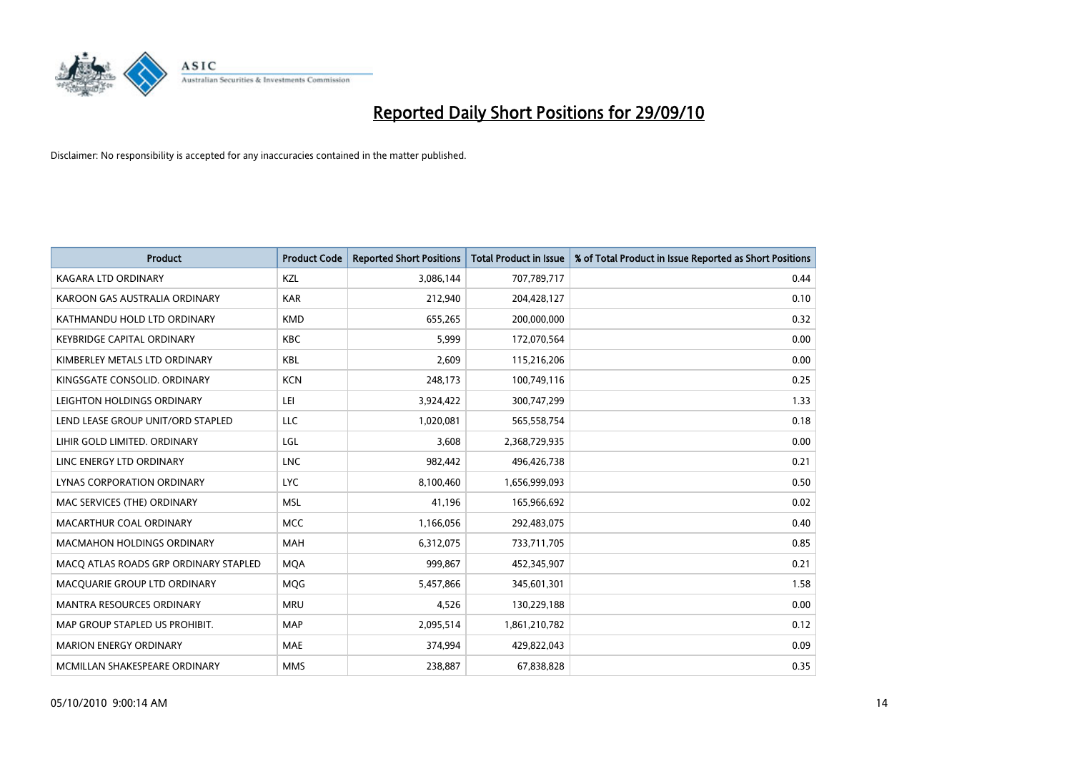

| <b>Product</b>                        | <b>Product Code</b> | <b>Reported Short Positions</b> | <b>Total Product in Issue</b> | % of Total Product in Issue Reported as Short Positions |
|---------------------------------------|---------------------|---------------------------------|-------------------------------|---------------------------------------------------------|
| <b>KAGARA LTD ORDINARY</b>            | KZL                 | 3,086,144                       | 707,789,717                   | 0.44                                                    |
| KAROON GAS AUSTRALIA ORDINARY         | <b>KAR</b>          | 212,940                         | 204,428,127                   | 0.10                                                    |
| KATHMANDU HOLD LTD ORDINARY           | <b>KMD</b>          | 655,265                         | 200,000,000                   | 0.32                                                    |
| <b>KEYBRIDGE CAPITAL ORDINARY</b>     | <b>KBC</b>          | 5,999                           | 172,070,564                   | 0.00                                                    |
| KIMBERLEY METALS LTD ORDINARY         | <b>KBL</b>          | 2,609                           | 115,216,206                   | 0.00                                                    |
| KINGSGATE CONSOLID, ORDINARY          | <b>KCN</b>          | 248,173                         | 100,749,116                   | 0.25                                                    |
| LEIGHTON HOLDINGS ORDINARY            | LEI                 | 3,924,422                       | 300,747,299                   | 1.33                                                    |
| LEND LEASE GROUP UNIT/ORD STAPLED     | LLC                 | 1,020,081                       | 565,558,754                   | 0.18                                                    |
| LIHIR GOLD LIMITED. ORDINARY          | LGL                 | 3.608                           | 2,368,729,935                 | 0.00                                                    |
| LINC ENERGY LTD ORDINARY              | <b>LNC</b>          | 982,442                         | 496,426,738                   | 0.21                                                    |
| LYNAS CORPORATION ORDINARY            | <b>LYC</b>          | 8,100,460                       | 1,656,999,093                 | 0.50                                                    |
| MAC SERVICES (THE) ORDINARY           | <b>MSL</b>          | 41,196                          | 165,966,692                   | 0.02                                                    |
| MACARTHUR COAL ORDINARY               | <b>MCC</b>          | 1,166,056                       | 292,483,075                   | 0.40                                                    |
| <b>MACMAHON HOLDINGS ORDINARY</b>     | MAH                 | 6,312,075                       | 733,711,705                   | 0.85                                                    |
| MACO ATLAS ROADS GRP ORDINARY STAPLED | <b>MOA</b>          | 999,867                         | 452,345,907                   | 0.21                                                    |
| MACQUARIE GROUP LTD ORDINARY          | <b>MOG</b>          | 5,457,866                       | 345,601,301                   | 1.58                                                    |
| MANTRA RESOURCES ORDINARY             | <b>MRU</b>          | 4,526                           | 130,229,188                   | 0.00                                                    |
| MAP GROUP STAPLED US PROHIBIT.        | <b>MAP</b>          | 2,095,514                       | 1,861,210,782                 | 0.12                                                    |
| <b>MARION ENERGY ORDINARY</b>         | <b>MAE</b>          | 374,994                         | 429,822,043                   | 0.09                                                    |
| MCMILLAN SHAKESPEARE ORDINARY         | <b>MMS</b>          | 238,887                         | 67,838,828                    | 0.35                                                    |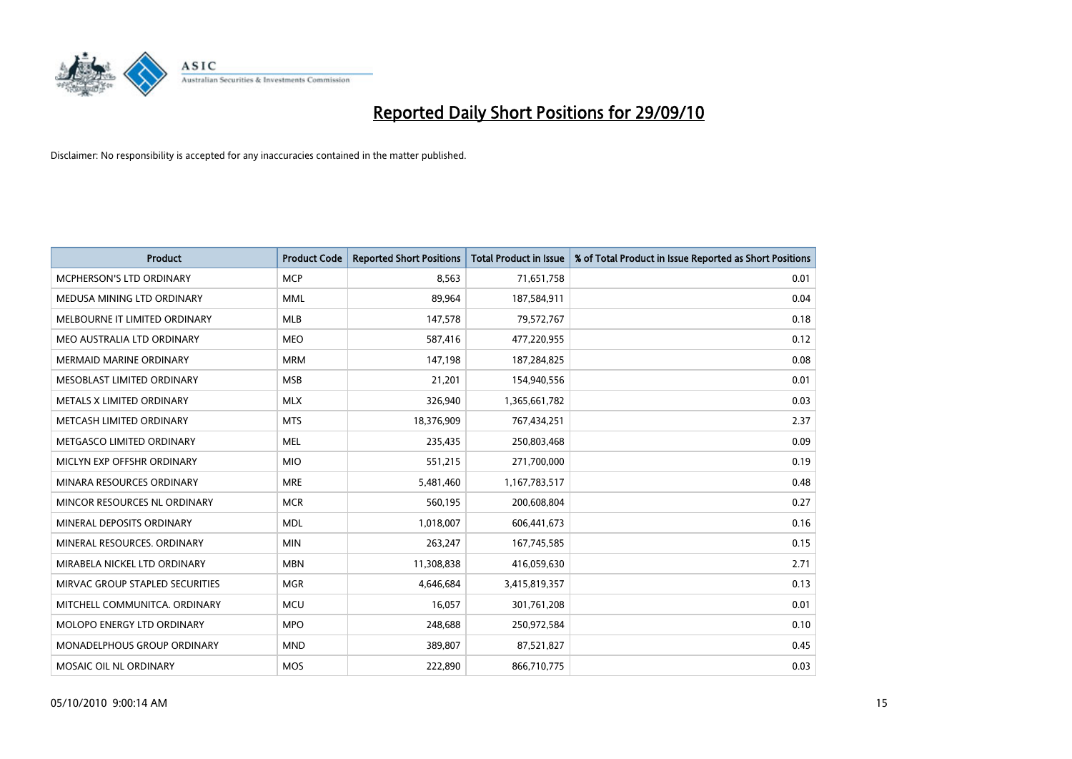

| <b>Product</b>                     | <b>Product Code</b> | <b>Reported Short Positions</b> | <b>Total Product in Issue</b> | % of Total Product in Issue Reported as Short Positions |
|------------------------------------|---------------------|---------------------------------|-------------------------------|---------------------------------------------------------|
| <b>MCPHERSON'S LTD ORDINARY</b>    | <b>MCP</b>          | 8.563                           | 71,651,758                    | 0.01                                                    |
| MEDUSA MINING LTD ORDINARY         | <b>MML</b>          | 89,964                          | 187,584,911                   | 0.04                                                    |
| MELBOURNE IT LIMITED ORDINARY      | <b>MLB</b>          | 147,578                         | 79,572,767                    | 0.18                                                    |
| MEO AUSTRALIA LTD ORDINARY         | <b>MEO</b>          | 587,416                         | 477,220,955                   | 0.12                                                    |
| <b>MERMAID MARINE ORDINARY</b>     | <b>MRM</b>          | 147,198                         | 187,284,825                   | 0.08                                                    |
| MESOBLAST LIMITED ORDINARY         | <b>MSB</b>          | 21,201                          | 154,940,556                   | 0.01                                                    |
| METALS X LIMITED ORDINARY          | <b>MLX</b>          | 326,940                         | 1,365,661,782                 | 0.03                                                    |
| METCASH LIMITED ORDINARY           | <b>MTS</b>          | 18,376,909                      | 767,434,251                   | 2.37                                                    |
| METGASCO LIMITED ORDINARY          | <b>MEL</b>          | 235,435                         | 250,803,468                   | 0.09                                                    |
| MICLYN EXP OFFSHR ORDINARY         | <b>MIO</b>          | 551,215                         | 271,700,000                   | 0.19                                                    |
| MINARA RESOURCES ORDINARY          | <b>MRE</b>          | 5,481,460                       | 1,167,783,517                 | 0.48                                                    |
| MINCOR RESOURCES NL ORDINARY       | <b>MCR</b>          | 560,195                         | 200,608,804                   | 0.27                                                    |
| MINERAL DEPOSITS ORDINARY          | <b>MDL</b>          | 1,018,007                       | 606,441,673                   | 0.16                                                    |
| MINERAL RESOURCES, ORDINARY        | <b>MIN</b>          | 263,247                         | 167,745,585                   | 0.15                                                    |
| MIRABELA NICKEL LTD ORDINARY       | <b>MBN</b>          | 11,308,838                      | 416,059,630                   | 2.71                                                    |
| MIRVAC GROUP STAPLED SECURITIES    | <b>MGR</b>          | 4,646,684                       | 3,415,819,357                 | 0.13                                                    |
| MITCHELL COMMUNITCA. ORDINARY      | <b>MCU</b>          | 16,057                          | 301,761,208                   | 0.01                                                    |
| MOLOPO ENERGY LTD ORDINARY         | <b>MPO</b>          | 248,688                         | 250,972,584                   | 0.10                                                    |
| <b>MONADELPHOUS GROUP ORDINARY</b> | <b>MND</b>          | 389,807                         | 87,521,827                    | 0.45                                                    |
| MOSAIC OIL NL ORDINARY             | MOS                 | 222,890                         | 866,710,775                   | 0.03                                                    |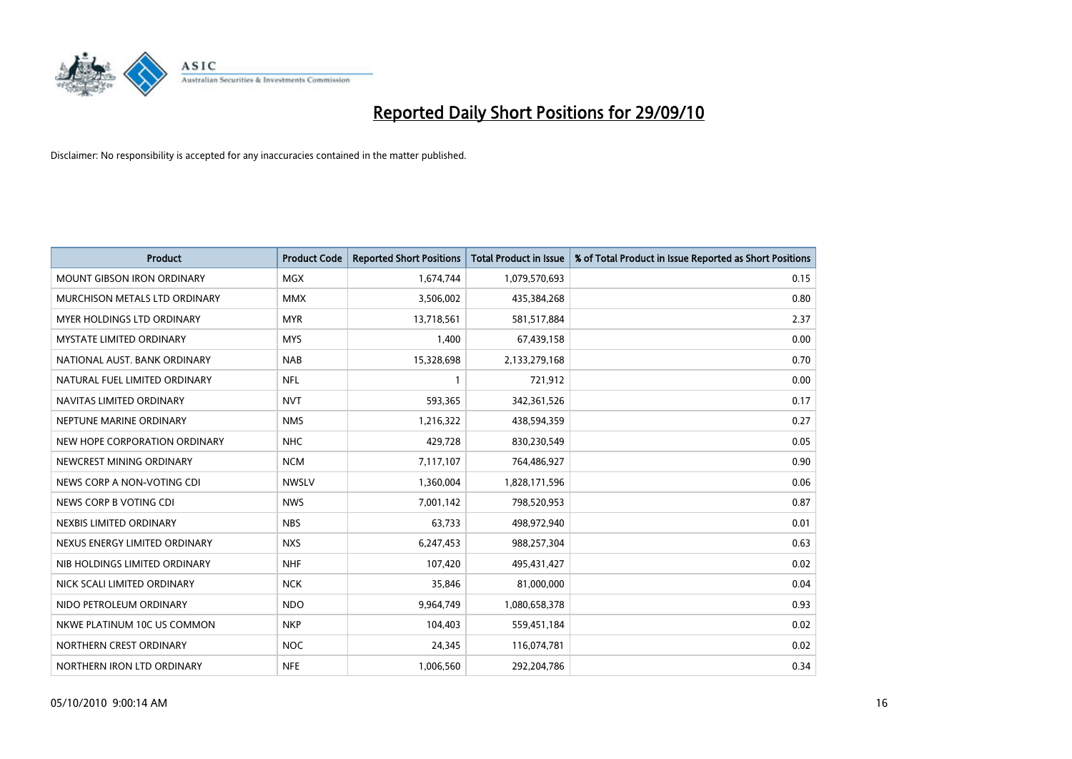

| <b>Product</b>                    | <b>Product Code</b> | <b>Reported Short Positions</b> | <b>Total Product in Issue</b> | % of Total Product in Issue Reported as Short Positions |
|-----------------------------------|---------------------|---------------------------------|-------------------------------|---------------------------------------------------------|
| <b>MOUNT GIBSON IRON ORDINARY</b> | MGX                 | 1,674,744                       | 1,079,570,693                 | 0.15                                                    |
| MURCHISON METALS LTD ORDINARY     | <b>MMX</b>          | 3,506,002                       | 435,384,268                   | 0.80                                                    |
| <b>MYER HOLDINGS LTD ORDINARY</b> | <b>MYR</b>          | 13,718,561                      | 581,517,884                   | 2.37                                                    |
| MYSTATE LIMITED ORDINARY          | <b>MYS</b>          | 1,400                           | 67,439,158                    | 0.00                                                    |
| NATIONAL AUST, BANK ORDINARY      | <b>NAB</b>          | 15,328,698                      | 2,133,279,168                 | 0.70                                                    |
| NATURAL FUEL LIMITED ORDINARY     | <b>NFL</b>          |                                 | 721,912                       | 0.00                                                    |
| NAVITAS LIMITED ORDINARY          | <b>NVT</b>          | 593,365                         | 342,361,526                   | 0.17                                                    |
| NEPTUNE MARINE ORDINARY           | <b>NMS</b>          | 1,216,322                       | 438,594,359                   | 0.27                                                    |
| NEW HOPE CORPORATION ORDINARY     | <b>NHC</b>          | 429,728                         | 830,230,549                   | 0.05                                                    |
| NEWCREST MINING ORDINARY          | <b>NCM</b>          | 7,117,107                       | 764,486,927                   | 0.90                                                    |
| NEWS CORP A NON-VOTING CDI        | <b>NWSLV</b>        | 1,360,004                       | 1,828,171,596                 | 0.06                                                    |
| NEWS CORP B VOTING CDI            | <b>NWS</b>          | 7,001,142                       | 798,520,953                   | 0.87                                                    |
| NEXBIS LIMITED ORDINARY           | <b>NBS</b>          | 63.733                          | 498,972,940                   | 0.01                                                    |
| NEXUS ENERGY LIMITED ORDINARY     | <b>NXS</b>          | 6,247,453                       | 988,257,304                   | 0.63                                                    |
| NIB HOLDINGS LIMITED ORDINARY     | <b>NHF</b>          | 107,420                         | 495,431,427                   | 0.02                                                    |
| NICK SCALI LIMITED ORDINARY       | <b>NCK</b>          | 35,846                          | 81,000,000                    | 0.04                                                    |
| NIDO PETROLEUM ORDINARY           | <b>NDO</b>          | 9,964,749                       | 1,080,658,378                 | 0.93                                                    |
| NKWE PLATINUM 10C US COMMON       | <b>NKP</b>          | 104,403                         | 559,451,184                   | 0.02                                                    |
| NORTHERN CREST ORDINARY           | <b>NOC</b>          | 24,345                          | 116,074,781                   | 0.02                                                    |
| NORTHERN IRON LTD ORDINARY        | <b>NFE</b>          | 1,006,560                       | 292,204,786                   | 0.34                                                    |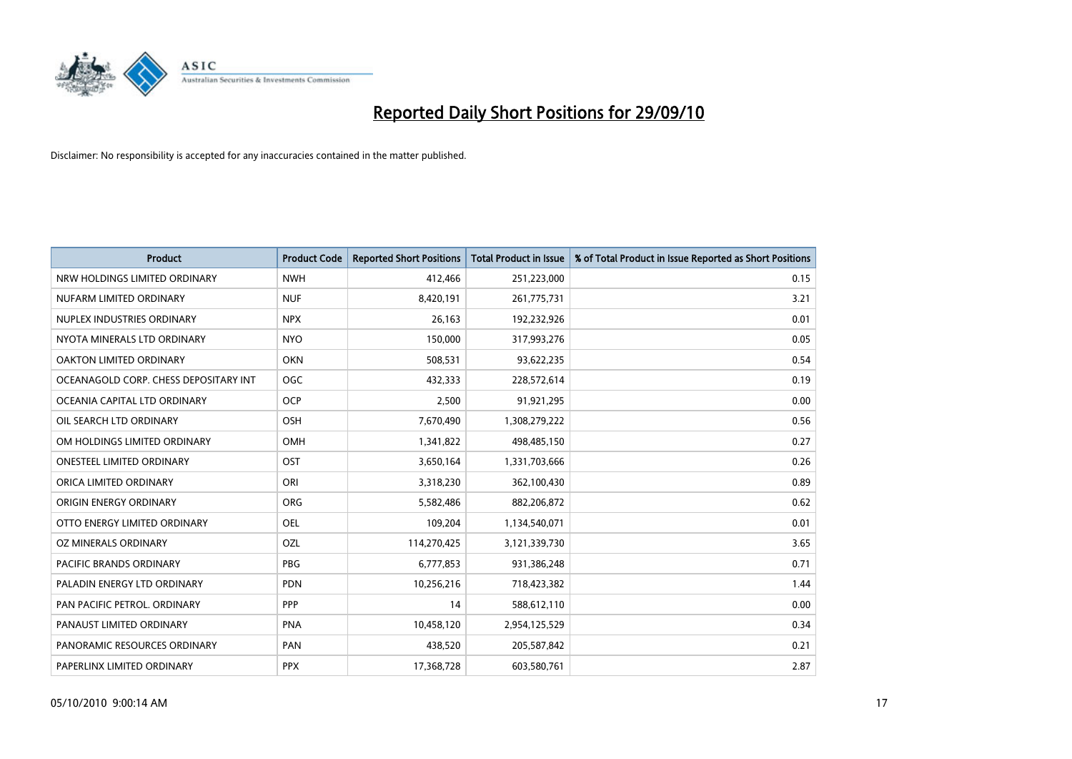

| <b>Product</b>                        | <b>Product Code</b> | <b>Reported Short Positions</b> | <b>Total Product in Issue</b> | % of Total Product in Issue Reported as Short Positions |
|---------------------------------------|---------------------|---------------------------------|-------------------------------|---------------------------------------------------------|
| NRW HOLDINGS LIMITED ORDINARY         | <b>NWH</b>          | 412,466                         | 251,223,000                   | 0.15                                                    |
| NUFARM LIMITED ORDINARY               | <b>NUF</b>          | 8,420,191                       | 261,775,731                   | 3.21                                                    |
| NUPLEX INDUSTRIES ORDINARY            | <b>NPX</b>          | 26,163                          | 192,232,926                   | 0.01                                                    |
| NYOTA MINERALS LTD ORDINARY           | <b>NYO</b>          | 150,000                         | 317,993,276                   | 0.05                                                    |
| OAKTON LIMITED ORDINARY               | <b>OKN</b>          | 508,531                         | 93,622,235                    | 0.54                                                    |
| OCEANAGOLD CORP. CHESS DEPOSITARY INT | <b>OGC</b>          | 432,333                         | 228,572,614                   | 0.19                                                    |
| OCEANIA CAPITAL LTD ORDINARY          | <b>OCP</b>          | 2,500                           | 91,921,295                    | 0.00                                                    |
| OIL SEARCH LTD ORDINARY               | OSH                 | 7,670,490                       | 1,308,279,222                 | 0.56                                                    |
| OM HOLDINGS LIMITED ORDINARY          | <b>OMH</b>          | 1,341,822                       | 498,485,150                   | 0.27                                                    |
| <b>ONESTEEL LIMITED ORDINARY</b>      | OST                 | 3,650,164                       | 1,331,703,666                 | 0.26                                                    |
| ORICA LIMITED ORDINARY                | ORI                 | 3,318,230                       | 362,100,430                   | 0.89                                                    |
| ORIGIN ENERGY ORDINARY                | <b>ORG</b>          | 5,582,486                       | 882,206,872                   | 0.62                                                    |
| OTTO ENERGY LIMITED ORDINARY          | OEL                 | 109,204                         | 1,134,540,071                 | 0.01                                                    |
| OZ MINERALS ORDINARY                  | OZL                 | 114,270,425                     | 3,121,339,730                 | 3.65                                                    |
| <b>PACIFIC BRANDS ORDINARY</b>        | <b>PBG</b>          | 6,777,853                       | 931,386,248                   | 0.71                                                    |
| PALADIN ENERGY LTD ORDINARY           | <b>PDN</b>          | 10,256,216                      | 718,423,382                   | 1.44                                                    |
| PAN PACIFIC PETROL. ORDINARY          | PPP                 | 14                              | 588,612,110                   | 0.00                                                    |
| PANAUST LIMITED ORDINARY              | <b>PNA</b>          | 10,458,120                      | 2,954,125,529                 | 0.34                                                    |
| PANORAMIC RESOURCES ORDINARY          | PAN                 | 438,520                         | 205,587,842                   | 0.21                                                    |
| PAPERLINX LIMITED ORDINARY            | <b>PPX</b>          | 17,368,728                      | 603,580,761                   | 2.87                                                    |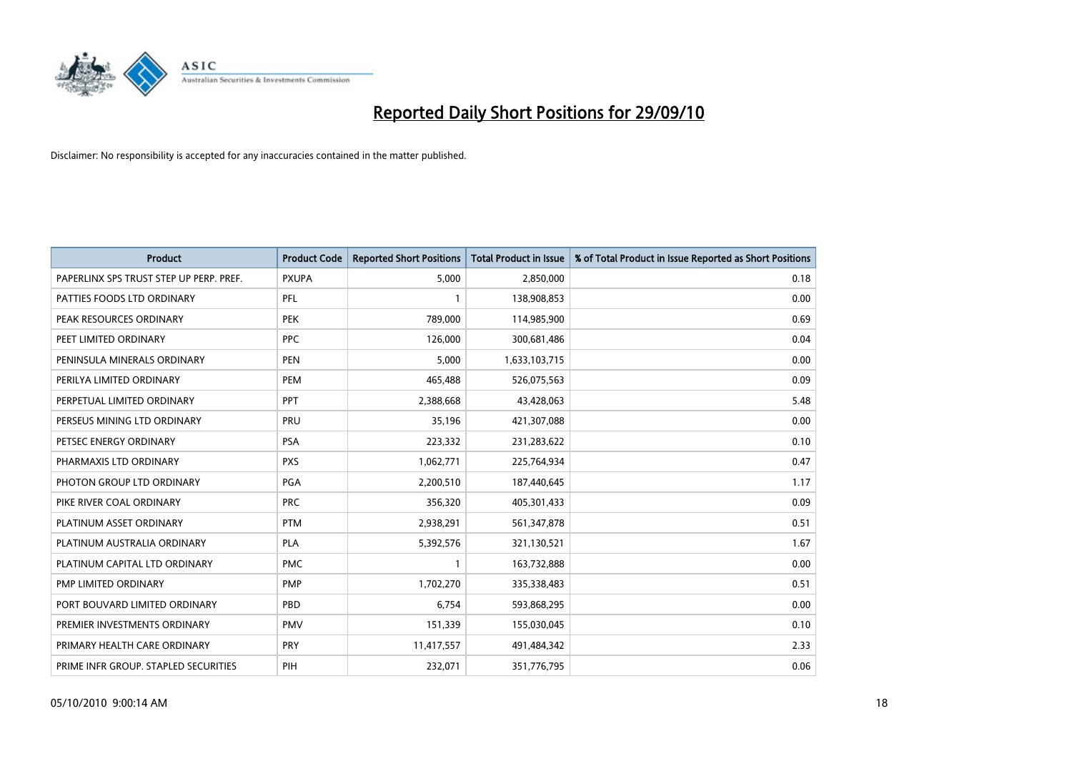

| <b>Product</b>                          | <b>Product Code</b> | <b>Reported Short Positions</b> | Total Product in Issue | % of Total Product in Issue Reported as Short Positions |
|-----------------------------------------|---------------------|---------------------------------|------------------------|---------------------------------------------------------|
| PAPERLINX SPS TRUST STEP UP PERP. PREF. | <b>PXUPA</b>        | 5,000                           | 2,850,000              | 0.18                                                    |
| PATTIES FOODS LTD ORDINARY              | PFL                 |                                 | 138,908,853            | 0.00                                                    |
| PEAK RESOURCES ORDINARY                 | <b>PEK</b>          | 789,000                         | 114,985,900            | 0.69                                                    |
| PEET LIMITED ORDINARY                   | <b>PPC</b>          | 126,000                         | 300,681,486            | 0.04                                                    |
| PENINSULA MINERALS ORDINARY             | <b>PEN</b>          | 5,000                           | 1,633,103,715          | 0.00                                                    |
| PERILYA LIMITED ORDINARY                | <b>PEM</b>          | 465,488                         | 526,075,563            | 0.09                                                    |
| PERPETUAL LIMITED ORDINARY              | PPT                 | 2,388,668                       | 43,428,063             | 5.48                                                    |
| PERSEUS MINING LTD ORDINARY             | PRU                 | 35,196                          | 421,307,088            | 0.00                                                    |
| PETSEC ENERGY ORDINARY                  | <b>PSA</b>          | 223,332                         | 231,283,622            | 0.10                                                    |
| PHARMAXIS LTD ORDINARY                  | <b>PXS</b>          | 1,062,771                       | 225,764,934            | 0.47                                                    |
| PHOTON GROUP LTD ORDINARY               | PGA                 | 2,200,510                       | 187,440,645            | 1.17                                                    |
| PIKE RIVER COAL ORDINARY                | <b>PRC</b>          | 356,320                         | 405,301,433            | 0.09                                                    |
| PLATINUM ASSET ORDINARY                 | <b>PTM</b>          | 2,938,291                       | 561,347,878            | 0.51                                                    |
| PLATINUM AUSTRALIA ORDINARY             | <b>PLA</b>          | 5,392,576                       | 321,130,521            | 1.67                                                    |
| PLATINUM CAPITAL LTD ORDINARY           | <b>PMC</b>          |                                 | 163,732,888            | 0.00                                                    |
| PMP LIMITED ORDINARY                    | <b>PMP</b>          | 1,702,270                       | 335,338,483            | 0.51                                                    |
| PORT BOUVARD LIMITED ORDINARY           | PBD                 | 6,754                           | 593,868,295            | 0.00                                                    |
| PREMIER INVESTMENTS ORDINARY            | <b>PMV</b>          | 151,339                         | 155,030,045            | 0.10                                                    |
| PRIMARY HEALTH CARE ORDINARY            | <b>PRY</b>          | 11,417,557                      | 491,484,342            | 2.33                                                    |
| PRIME INFR GROUP. STAPLED SECURITIES    | PIH                 | 232,071                         | 351,776,795            | 0.06                                                    |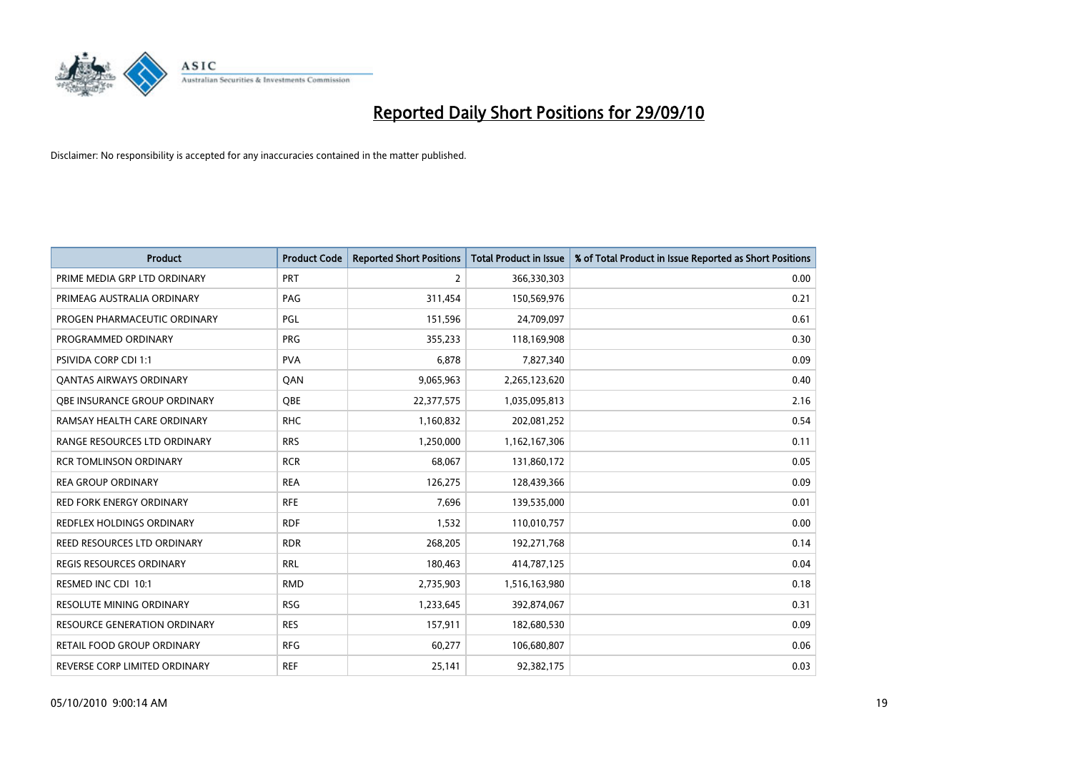

| <b>Product</b>                      | <b>Product Code</b> | <b>Reported Short Positions</b> | Total Product in Issue | % of Total Product in Issue Reported as Short Positions |
|-------------------------------------|---------------------|---------------------------------|------------------------|---------------------------------------------------------|
| PRIME MEDIA GRP LTD ORDINARY        | PRT                 | $\overline{2}$                  | 366,330,303            | 0.00                                                    |
| PRIMEAG AUSTRALIA ORDINARY          | PAG                 | 311,454                         | 150,569,976            | 0.21                                                    |
| PROGEN PHARMACEUTIC ORDINARY        | PGL                 | 151,596                         | 24,709,097             | 0.61                                                    |
| PROGRAMMED ORDINARY                 | <b>PRG</b>          | 355,233                         | 118,169,908            | 0.30                                                    |
| PSIVIDA CORP CDI 1:1                | <b>PVA</b>          | 6,878                           | 7,827,340              | 0.09                                                    |
| <b>QANTAS AIRWAYS ORDINARY</b>      | QAN                 | 9,065,963                       | 2,265,123,620          | 0.40                                                    |
| <b>QBE INSURANCE GROUP ORDINARY</b> | OBE                 | 22,377,575                      | 1,035,095,813          | 2.16                                                    |
| RAMSAY HEALTH CARE ORDINARY         | <b>RHC</b>          | 1,160,832                       | 202,081,252            | 0.54                                                    |
| <b>RANGE RESOURCES LTD ORDINARY</b> | <b>RRS</b>          | 1,250,000                       | 1,162,167,306          | 0.11                                                    |
| <b>RCR TOMLINSON ORDINARY</b>       | <b>RCR</b>          | 68,067                          | 131,860,172            | 0.05                                                    |
| <b>REA GROUP ORDINARY</b>           | <b>REA</b>          | 126,275                         | 128,439,366            | 0.09                                                    |
| <b>RED FORK ENERGY ORDINARY</b>     | <b>RFE</b>          | 7,696                           | 139,535,000            | 0.01                                                    |
| REDFLEX HOLDINGS ORDINARY           | <b>RDF</b>          | 1,532                           | 110,010,757            | 0.00                                                    |
| REED RESOURCES LTD ORDINARY         | <b>RDR</b>          | 268,205                         | 192,271,768            | 0.14                                                    |
| <b>REGIS RESOURCES ORDINARY</b>     | <b>RRL</b>          | 180,463                         | 414,787,125            | 0.04                                                    |
| RESMED INC CDI 10:1                 | <b>RMD</b>          | 2,735,903                       | 1,516,163,980          | 0.18                                                    |
| RESOLUTE MINING ORDINARY            | <b>RSG</b>          | 1,233,645                       | 392,874,067            | 0.31                                                    |
| RESOURCE GENERATION ORDINARY        | <b>RES</b>          | 157,911                         | 182,680,530            | 0.09                                                    |
| <b>RETAIL FOOD GROUP ORDINARY</b>   | <b>RFG</b>          | 60,277                          | 106,680,807            | 0.06                                                    |
| REVERSE CORP LIMITED ORDINARY       | <b>REF</b>          | 25,141                          | 92,382,175             | 0.03                                                    |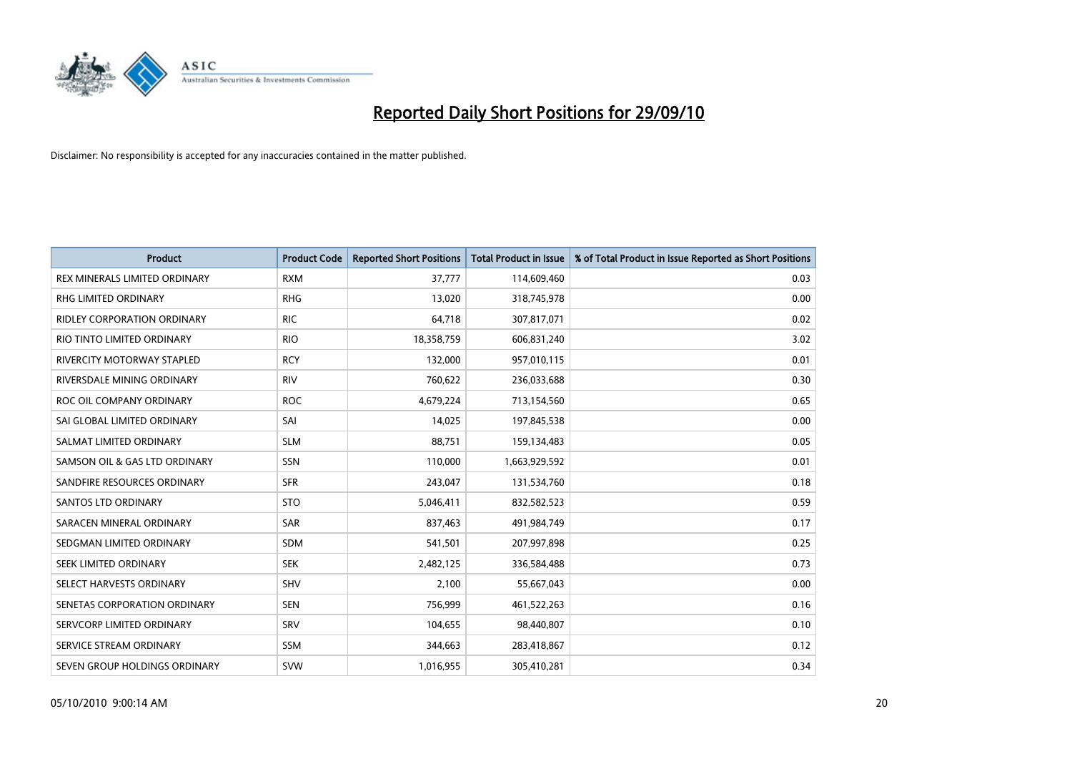

| <b>Product</b>                     | <b>Product Code</b> | <b>Reported Short Positions</b> | <b>Total Product in Issue</b> | % of Total Product in Issue Reported as Short Positions |
|------------------------------------|---------------------|---------------------------------|-------------------------------|---------------------------------------------------------|
| REX MINERALS LIMITED ORDINARY      | <b>RXM</b>          | 37,777                          | 114,609,460                   | 0.03                                                    |
| RHG LIMITED ORDINARY               | <b>RHG</b>          | 13,020                          | 318,745,978                   | 0.00                                                    |
| <b>RIDLEY CORPORATION ORDINARY</b> | <b>RIC</b>          | 64,718                          | 307,817,071                   | 0.02                                                    |
| RIO TINTO LIMITED ORDINARY         | <b>RIO</b>          | 18,358,759                      | 606,831,240                   | 3.02                                                    |
| <b>RIVERCITY MOTORWAY STAPLED</b>  | <b>RCY</b>          | 132,000                         | 957,010,115                   | 0.01                                                    |
| RIVERSDALE MINING ORDINARY         | <b>RIV</b>          | 760,622                         | 236,033,688                   | 0.30                                                    |
| ROC OIL COMPANY ORDINARY           | <b>ROC</b>          | 4,679,224                       | 713,154,560                   | 0.65                                                    |
| SAI GLOBAL LIMITED ORDINARY        | SAI                 | 14.025                          | 197,845,538                   | 0.00                                                    |
| SALMAT LIMITED ORDINARY            | <b>SLM</b>          | 88,751                          | 159,134,483                   | 0.05                                                    |
| SAMSON OIL & GAS LTD ORDINARY      | SSN                 | 110,000                         | 1,663,929,592                 | 0.01                                                    |
| SANDFIRE RESOURCES ORDINARY        | <b>SFR</b>          | 243,047                         | 131,534,760                   | 0.18                                                    |
| <b>SANTOS LTD ORDINARY</b>         | <b>STO</b>          | 5,046,411                       | 832,582,523                   | 0.59                                                    |
| SARACEN MINERAL ORDINARY           | <b>SAR</b>          | 837,463                         | 491,984,749                   | 0.17                                                    |
| SEDGMAN LIMITED ORDINARY           | <b>SDM</b>          | 541,501                         | 207,997,898                   | 0.25                                                    |
| SEEK LIMITED ORDINARY              | <b>SEK</b>          | 2,482,125                       | 336,584,488                   | 0.73                                                    |
| SELECT HARVESTS ORDINARY           | SHV                 | 2,100                           | 55,667,043                    | 0.00                                                    |
| SENETAS CORPORATION ORDINARY       | <b>SEN</b>          | 756,999                         | 461,522,263                   | 0.16                                                    |
| SERVCORP LIMITED ORDINARY          | SRV                 | 104,655                         | 98,440,807                    | 0.10                                                    |
| SERVICE STREAM ORDINARY            | <b>SSM</b>          | 344,663                         | 283,418,867                   | 0.12                                                    |
| SEVEN GROUP HOLDINGS ORDINARY      | <b>SVW</b>          | 1,016,955                       | 305,410,281                   | 0.34                                                    |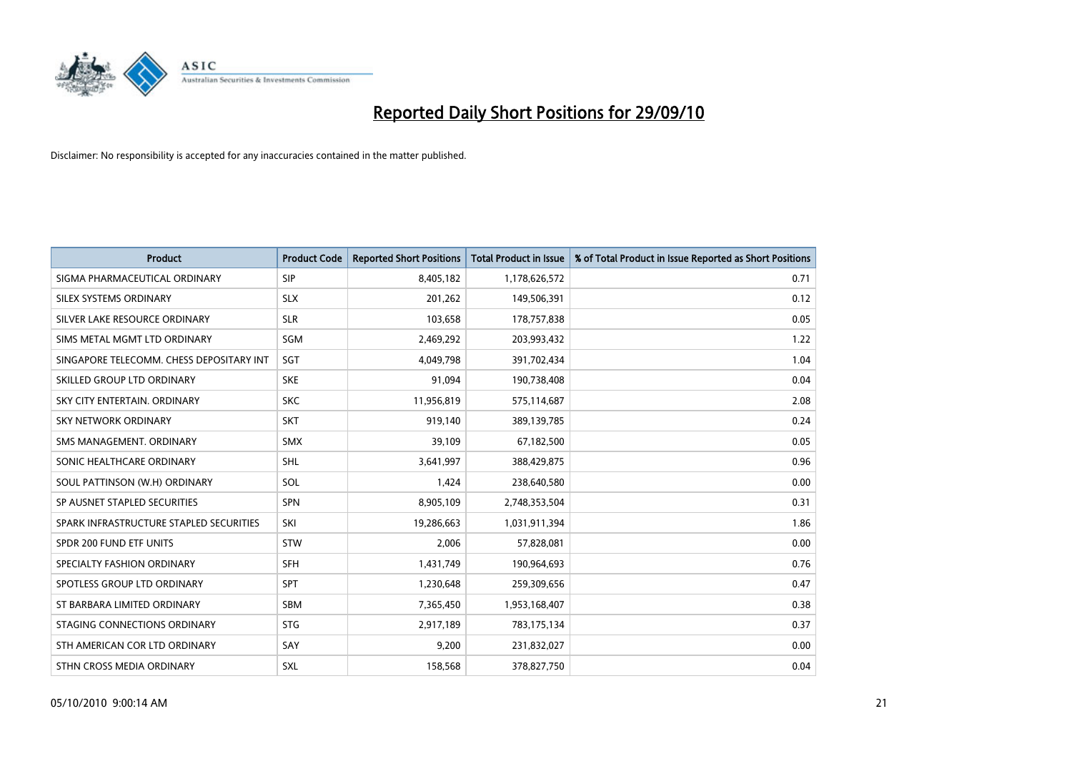

| <b>Product</b>                           | <b>Product Code</b> | <b>Reported Short Positions</b> | <b>Total Product in Issue</b> | % of Total Product in Issue Reported as Short Positions |
|------------------------------------------|---------------------|---------------------------------|-------------------------------|---------------------------------------------------------|
| SIGMA PHARMACEUTICAL ORDINARY            | SIP                 | 8,405,182                       | 1,178,626,572                 | 0.71                                                    |
| SILEX SYSTEMS ORDINARY                   | <b>SLX</b>          | 201,262                         | 149,506,391                   | 0.12                                                    |
| SILVER LAKE RESOURCE ORDINARY            | <b>SLR</b>          | 103,658                         | 178,757,838                   | 0.05                                                    |
| SIMS METAL MGMT LTD ORDINARY             | <b>SGM</b>          | 2,469,292                       | 203,993,432                   | 1.22                                                    |
| SINGAPORE TELECOMM. CHESS DEPOSITARY INT | SGT                 | 4,049,798                       | 391,702,434                   | 1.04                                                    |
| SKILLED GROUP LTD ORDINARY               | <b>SKE</b>          | 91,094                          | 190,738,408                   | 0.04                                                    |
| SKY CITY ENTERTAIN, ORDINARY             | <b>SKC</b>          | 11,956,819                      | 575,114,687                   | 2.08                                                    |
| <b>SKY NETWORK ORDINARY</b>              | <b>SKT</b>          | 919,140                         | 389,139,785                   | 0.24                                                    |
| SMS MANAGEMENT. ORDINARY                 | <b>SMX</b>          | 39,109                          | 67,182,500                    | 0.05                                                    |
| SONIC HEALTHCARE ORDINARY                | <b>SHL</b>          | 3,641,997                       | 388,429,875                   | 0.96                                                    |
| SOUL PATTINSON (W.H) ORDINARY            | SOL                 | 1,424                           | 238,640,580                   | 0.00                                                    |
| SP AUSNET STAPLED SECURITIES             | SPN                 | 8,905,109                       | 2,748,353,504                 | 0.31                                                    |
| SPARK INFRASTRUCTURE STAPLED SECURITIES  | SKI                 | 19,286,663                      | 1,031,911,394                 | 1.86                                                    |
| SPDR 200 FUND ETF UNITS                  | STW                 | 2,006                           | 57,828,081                    | 0.00                                                    |
| SPECIALTY FASHION ORDINARY               | <b>SFH</b>          | 1,431,749                       | 190,964,693                   | 0.76                                                    |
| SPOTLESS GROUP LTD ORDINARY              | <b>SPT</b>          | 1,230,648                       | 259,309,656                   | 0.47                                                    |
| ST BARBARA LIMITED ORDINARY              | <b>SBM</b>          | 7,365,450                       | 1,953,168,407                 | 0.38                                                    |
| STAGING CONNECTIONS ORDINARY             | <b>STG</b>          | 2,917,189                       | 783,175,134                   | 0.37                                                    |
| STH AMERICAN COR LTD ORDINARY            | SAY                 | 9,200                           | 231,832,027                   | 0.00                                                    |
| STHN CROSS MEDIA ORDINARY                | SXL                 | 158,568                         | 378,827,750                   | 0.04                                                    |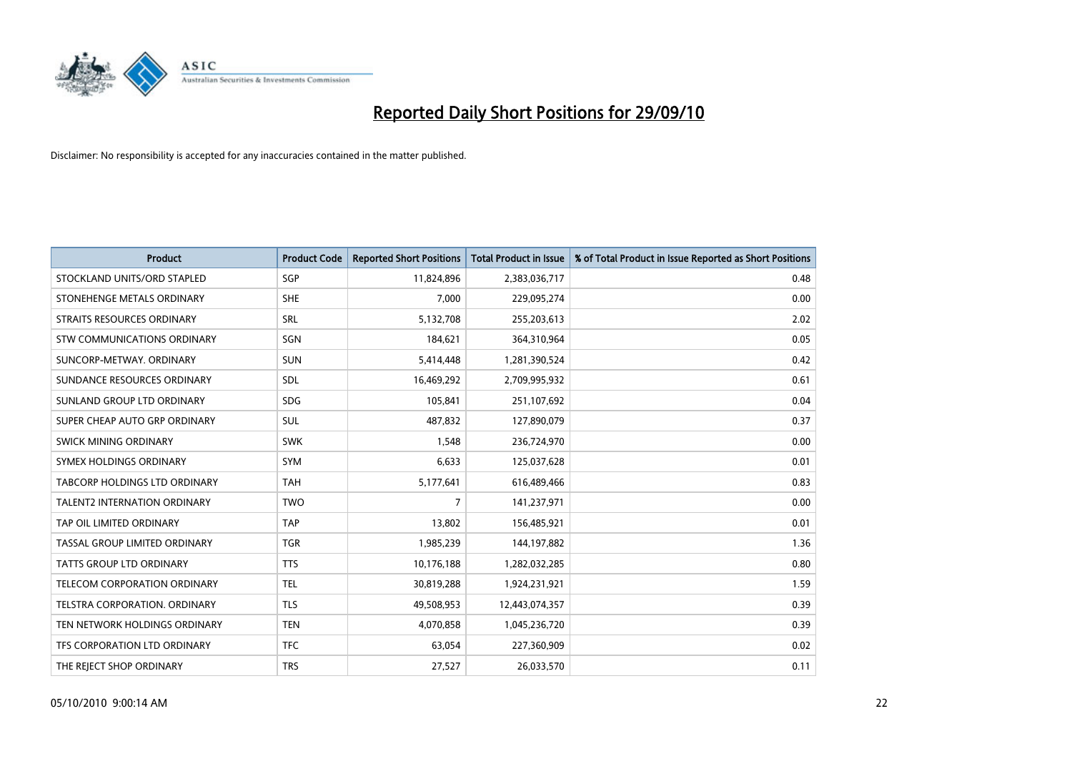

| <b>Product</b>                      | <b>Product Code</b> | <b>Reported Short Positions</b> | <b>Total Product in Issue</b> | % of Total Product in Issue Reported as Short Positions |
|-------------------------------------|---------------------|---------------------------------|-------------------------------|---------------------------------------------------------|
| STOCKLAND UNITS/ORD STAPLED         | SGP                 | 11,824,896                      | 2,383,036,717                 | 0.48                                                    |
| STONEHENGE METALS ORDINARY          | <b>SHE</b>          | 7,000                           | 229,095,274                   | 0.00                                                    |
| STRAITS RESOURCES ORDINARY          | SRL                 | 5,132,708                       | 255,203,613                   | 2.02                                                    |
| STW COMMUNICATIONS ORDINARY         | SGN                 | 184,621                         | 364,310,964                   | 0.05                                                    |
| SUNCORP-METWAY, ORDINARY            | <b>SUN</b>          | 5,414,448                       | 1,281,390,524                 | 0.42                                                    |
| SUNDANCE RESOURCES ORDINARY         | SDL                 | 16,469,292                      | 2,709,995,932                 | 0.61                                                    |
| SUNLAND GROUP LTD ORDINARY          | <b>SDG</b>          | 105,841                         | 251,107,692                   | 0.04                                                    |
| SUPER CHEAP AUTO GRP ORDINARY       | <b>SUL</b>          | 487,832                         | 127,890,079                   | 0.37                                                    |
| SWICK MINING ORDINARY               | <b>SWK</b>          | 1,548                           | 236,724,970                   | 0.00                                                    |
| SYMEX HOLDINGS ORDINARY             | SYM                 | 6,633                           | 125,037,628                   | 0.01                                                    |
| TABCORP HOLDINGS LTD ORDINARY       | <b>TAH</b>          | 5,177,641                       | 616,489,466                   | 0.83                                                    |
| <b>TALENT2 INTERNATION ORDINARY</b> | <b>TWO</b>          | $\overline{7}$                  | 141,237,971                   | 0.00                                                    |
| TAP OIL LIMITED ORDINARY            | <b>TAP</b>          | 13,802                          | 156,485,921                   | 0.01                                                    |
| TASSAL GROUP LIMITED ORDINARY       | <b>TGR</b>          | 1,985,239                       | 144,197,882                   | 1.36                                                    |
| <b>TATTS GROUP LTD ORDINARY</b>     | <b>TTS</b>          | 10,176,188                      | 1,282,032,285                 | 0.80                                                    |
| TELECOM CORPORATION ORDINARY        | <b>TEL</b>          | 30,819,288                      | 1,924,231,921                 | 1.59                                                    |
| TELSTRA CORPORATION. ORDINARY       | <b>TLS</b>          | 49,508,953                      | 12,443,074,357                | 0.39                                                    |
| TEN NETWORK HOLDINGS ORDINARY       | <b>TEN</b>          | 4,070,858                       | 1,045,236,720                 | 0.39                                                    |
| TFS CORPORATION LTD ORDINARY        | <b>TFC</b>          | 63,054                          | 227,360,909                   | 0.02                                                    |
| THE REJECT SHOP ORDINARY            | <b>TRS</b>          | 27,527                          | 26,033,570                    | 0.11                                                    |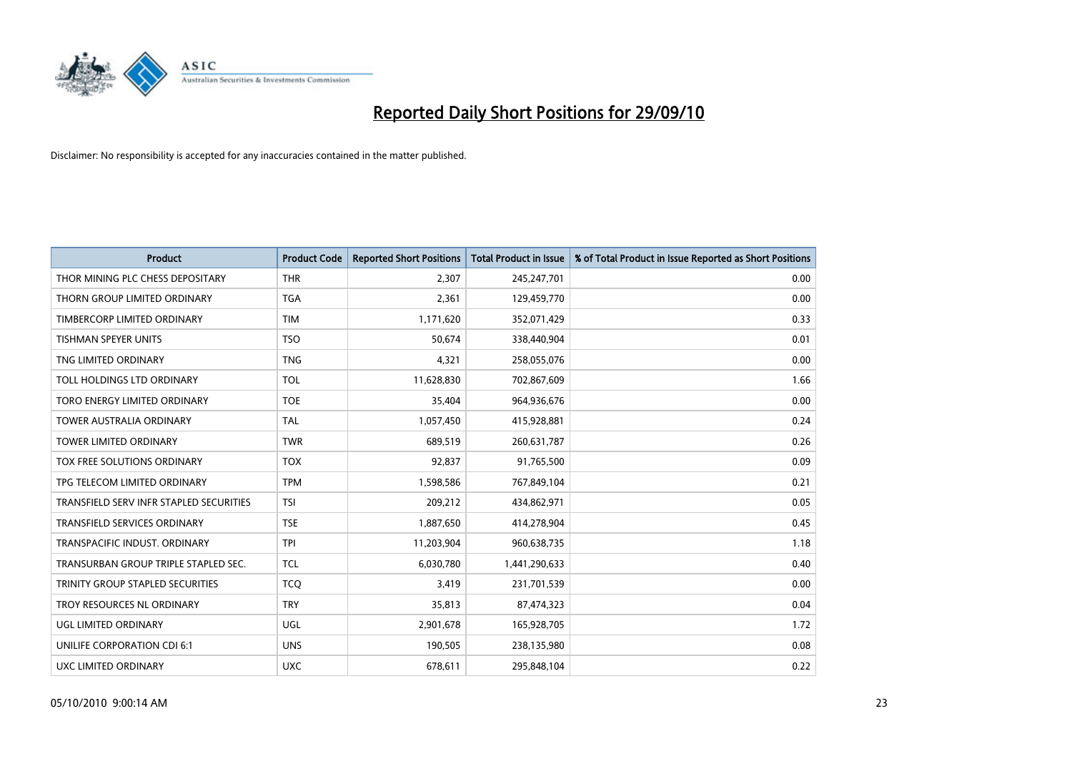

| <b>Product</b>                          | <b>Product Code</b> | <b>Reported Short Positions</b> | <b>Total Product in Issue</b> | % of Total Product in Issue Reported as Short Positions |
|-----------------------------------------|---------------------|---------------------------------|-------------------------------|---------------------------------------------------------|
| THOR MINING PLC CHESS DEPOSITARY        | <b>THR</b>          | 2.307                           | 245,247,701                   | 0.00                                                    |
| THORN GROUP LIMITED ORDINARY            | <b>TGA</b>          | 2,361                           | 129,459,770                   | 0.00                                                    |
| TIMBERCORP LIMITED ORDINARY             | <b>TIM</b>          | 1,171,620                       | 352,071,429                   | 0.33                                                    |
| TISHMAN SPEYER UNITS                    | <b>TSO</b>          | 50,674                          | 338,440,904                   | 0.01                                                    |
| TNG LIMITED ORDINARY                    | <b>TNG</b>          | 4,321                           | 258,055,076                   | 0.00                                                    |
| TOLL HOLDINGS LTD ORDINARY              | <b>TOL</b>          | 11,628,830                      | 702,867,609                   | 1.66                                                    |
| TORO ENERGY LIMITED ORDINARY            | <b>TOE</b>          | 35,404                          | 964,936,676                   | 0.00                                                    |
| <b>TOWER AUSTRALIA ORDINARY</b>         | <b>TAL</b>          | 1,057,450                       | 415,928,881                   | 0.24                                                    |
| TOWER LIMITED ORDINARY                  | <b>TWR</b>          | 689,519                         | 260,631,787                   | 0.26                                                    |
| TOX FREE SOLUTIONS ORDINARY             | <b>TOX</b>          | 92,837                          | 91,765,500                    | 0.09                                                    |
| TPG TELECOM LIMITED ORDINARY            | <b>TPM</b>          | 1,598,586                       | 767,849,104                   | 0.21                                                    |
| TRANSFIELD SERV INFR STAPLED SECURITIES | <b>TSI</b>          | 209,212                         | 434,862,971                   | 0.05                                                    |
| <b>TRANSFIELD SERVICES ORDINARY</b>     | <b>TSE</b>          | 1,887,650                       | 414,278,904                   | 0.45                                                    |
| TRANSPACIFIC INDUST, ORDINARY           | <b>TPI</b>          | 11,203,904                      | 960,638,735                   | 1.18                                                    |
| TRANSURBAN GROUP TRIPLE STAPLED SEC.    | <b>TCL</b>          | 6,030,780                       | 1,441,290,633                 | 0.40                                                    |
| TRINITY GROUP STAPLED SECURITIES        | <b>TCQ</b>          | 3,419                           | 231,701,539                   | 0.00                                                    |
| TROY RESOURCES NL ORDINARY              | <b>TRY</b>          | 35,813                          | 87,474,323                    | 0.04                                                    |
| UGL LIMITED ORDINARY                    | UGL                 | 2,901,678                       | 165,928,705                   | 1.72                                                    |
| UNILIFE CORPORATION CDI 6:1             | <b>UNS</b>          | 190,505                         | 238,135,980                   | 0.08                                                    |
| UXC LIMITED ORDINARY                    | <b>UXC</b>          | 678,611                         | 295,848,104                   | 0.22                                                    |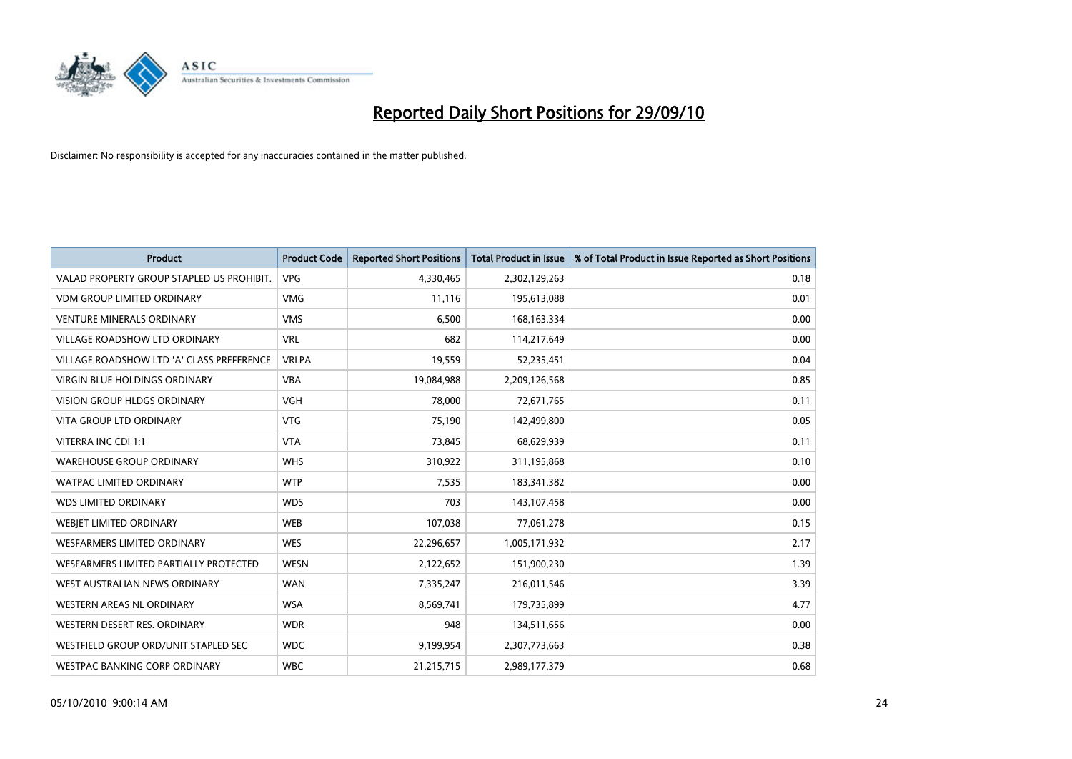

| <b>Product</b>                            | <b>Product Code</b> | <b>Reported Short Positions</b> | <b>Total Product in Issue</b> | % of Total Product in Issue Reported as Short Positions |
|-------------------------------------------|---------------------|---------------------------------|-------------------------------|---------------------------------------------------------|
| VALAD PROPERTY GROUP STAPLED US PROHIBIT. | <b>VPG</b>          | 4,330,465                       | 2,302,129,263                 | 0.18                                                    |
| <b>VDM GROUP LIMITED ORDINARY</b>         | <b>VMG</b>          | 11,116                          | 195,613,088                   | 0.01                                                    |
| <b>VENTURE MINERALS ORDINARY</b>          | <b>VMS</b>          | 6,500                           | 168, 163, 334                 | 0.00                                                    |
| VILLAGE ROADSHOW LTD ORDINARY             | <b>VRL</b>          | 682                             | 114,217,649                   | 0.00                                                    |
| VILLAGE ROADSHOW LTD 'A' CLASS PREFERENCE | <b>VRLPA</b>        | 19,559                          | 52,235,451                    | 0.04                                                    |
| <b>VIRGIN BLUE HOLDINGS ORDINARY</b>      | <b>VBA</b>          | 19,084,988                      | 2,209,126,568                 | 0.85                                                    |
| <b>VISION GROUP HLDGS ORDINARY</b>        | <b>VGH</b>          | 78,000                          | 72,671,765                    | 0.11                                                    |
| <b>VITA GROUP LTD ORDINARY</b>            | <b>VTG</b>          | 75,190                          | 142,499,800                   | 0.05                                                    |
| VITERRA INC CDI 1:1                       | <b>VTA</b>          | 73,845                          | 68,629,939                    | 0.11                                                    |
| <b>WAREHOUSE GROUP ORDINARY</b>           | <b>WHS</b>          | 310,922                         | 311,195,868                   | 0.10                                                    |
| WATPAC LIMITED ORDINARY                   | <b>WTP</b>          | 7,535                           | 183,341,382                   | 0.00                                                    |
| <b>WDS LIMITED ORDINARY</b>               | <b>WDS</b>          | 703                             | 143,107,458                   | 0.00                                                    |
| WEBIET LIMITED ORDINARY                   | <b>WEB</b>          | 107,038                         | 77,061,278                    | 0.15                                                    |
| <b>WESFARMERS LIMITED ORDINARY</b>        | <b>WES</b>          | 22,296,657                      | 1,005,171,932                 | 2.17                                                    |
| WESFARMERS LIMITED PARTIALLY PROTECTED    | <b>WESN</b>         | 2,122,652                       | 151,900,230                   | 1.39                                                    |
| WEST AUSTRALIAN NEWS ORDINARY             | <b>WAN</b>          | 7,335,247                       | 216,011,546                   | 3.39                                                    |
| WESTERN AREAS NL ORDINARY                 | <b>WSA</b>          | 8,569,741                       | 179,735,899                   | 4.77                                                    |
| WESTERN DESERT RES. ORDINARY              | <b>WDR</b>          | 948                             | 134,511,656                   | 0.00                                                    |
| WESTFIELD GROUP ORD/UNIT STAPLED SEC      | <b>WDC</b>          | 9,199,954                       | 2,307,773,663                 | 0.38                                                    |
| WESTPAC BANKING CORP ORDINARY             | <b>WBC</b>          | 21,215,715                      | 2,989,177,379                 | 0.68                                                    |